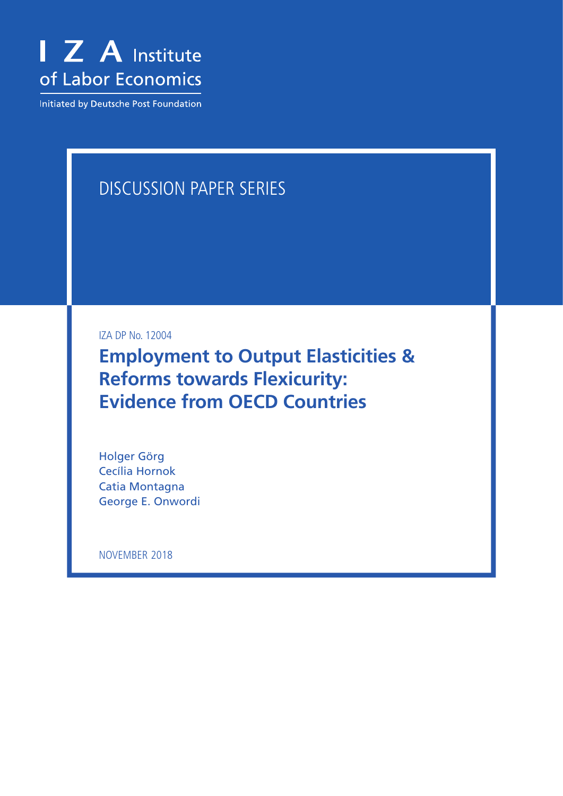

Initiated by Deutsche Post Foundation

# DISCUSSION PAPER SERIES

IZA DP No. 12004

**Employment to Output Elasticities & Reforms towards Flexicurity: Evidence from OECD Countries**

Holger Görg Cecília Hornok Catia Montagna George E. Onwordi

NOVEMBER 2018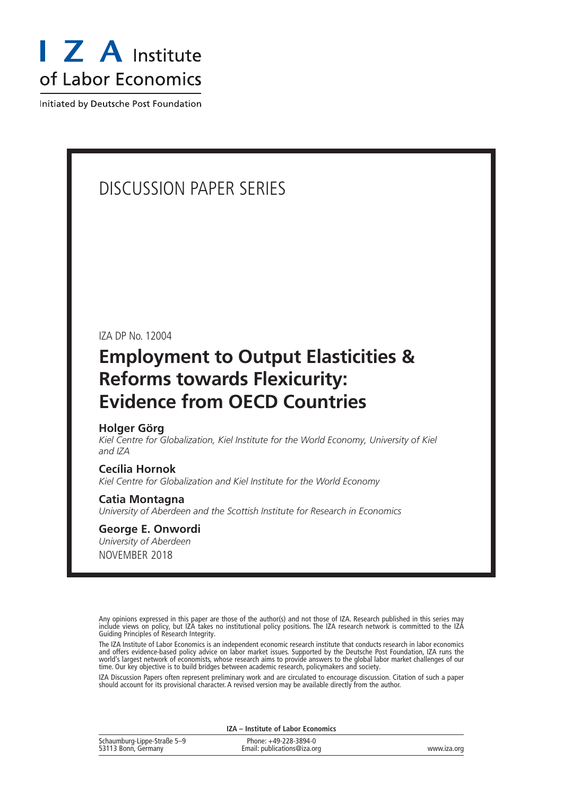

Initiated by Deutsche Post Foundation

# DISCUSSION PAPER SERIES

IZA DP No. 12004

# **Employment to Output Elasticities & Reforms towards Flexicurity: Evidence from OECD Countries**

#### **Holger Görg**

*Kiel Centre for Globalization, Kiel Institute for the World Economy, University of Kiel and IZA*

#### **Cecília Hornok**

*Kiel Centre for Globalization and Kiel Institute for the World Economy*

#### **Catia Montagna**

*University of Aberdeen and the Scottish Institute for Research in Economics*

#### NOVEMBER 2018 **George E. Onwordi** *University of Aberdeen*

Any opinions expressed in this paper are those of the author(s) and not those of IZA. Research published in this series may include views on policy, but IZA takes no institutional policy positions. The IZA research network is committed to the IZA Guiding Principles of Research Integrity.

The IZA Institute of Labor Economics is an independent economic research institute that conducts research in labor economics and offers evidence-based policy advice on labor market issues. Supported by the Deutsche Post Foundation, IZA runs the world's largest network of economists, whose research aims to provide answers to the global labor market challenges of our time. Our key objective is to build bridges between academic research, policymakers and society.

IZA Discussion Papers often represent preliminary work and are circulated to encourage discussion. Citation of such a paper should account for its provisional character. A revised version may be available directly from the author.

|                                                    | IZA – Institute of Labor Economics                   |             |
|----------------------------------------------------|------------------------------------------------------|-------------|
| Schaumburg-Lippe-Straße 5-9<br>53113 Bonn, Germany | Phone: +49-228-3894-0<br>Email: publications@iza.org | www.iza.org |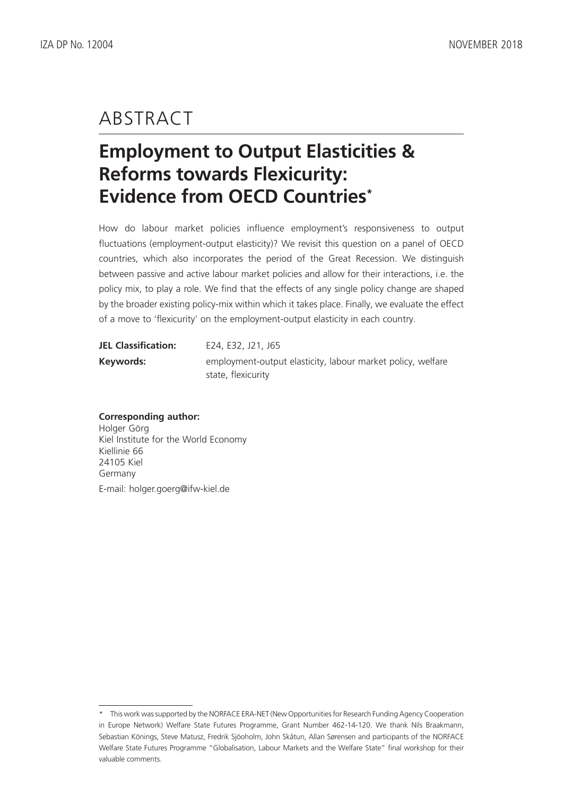# ABSTRACT

# **Employment to Output Elasticities & Reforms towards Flexicurity: Evidence from OECD Countries\***

How do labour market policies influence employment's responsiveness to output fluctuations (employment-output elasticity)? We revisit this question on a panel of OECD countries, which also incorporates the period of the Great Recession. We distinguish between passive and active labour market policies and allow for their interactions, i.e. the policy mix, to play a role. We find that the effects of any single policy change are shaped by the broader existing policy-mix within which it takes place. Finally, we evaluate the effect of a move to 'flexicurity' on the employment-output elasticity in each country.

| <b>JEL Classification:</b> | E24, E32, J21, J65                                                                |
|----------------------------|-----------------------------------------------------------------------------------|
| Keywords:                  | employment-output elasticity, labour market policy, welfare<br>state, flexicurity |

### **Corresponding author:**

Holger Görg Kiel Institute for the World Economy Kiellinie 66 24105 Kiel Germany E-mail: holger.goerg@ifw-kiel.de

<sup>\*</sup> This work was supported by the NORFACE ERA-NET (New Opportunities for Research Funding Agency Cooperation in Europe Network) Welfare State Futures Programme, Grant Number 462-14-120. We thank Nils Braakmann, Sebastian Könings, Steve Matusz, Fredrik Sjöoholm, John Skåtun, Allan Sørensen and participants of the NORFACE Welfare State Futures Programme "Globalisation, Labour Markets and the Welfare State" final workshop for their valuable comments.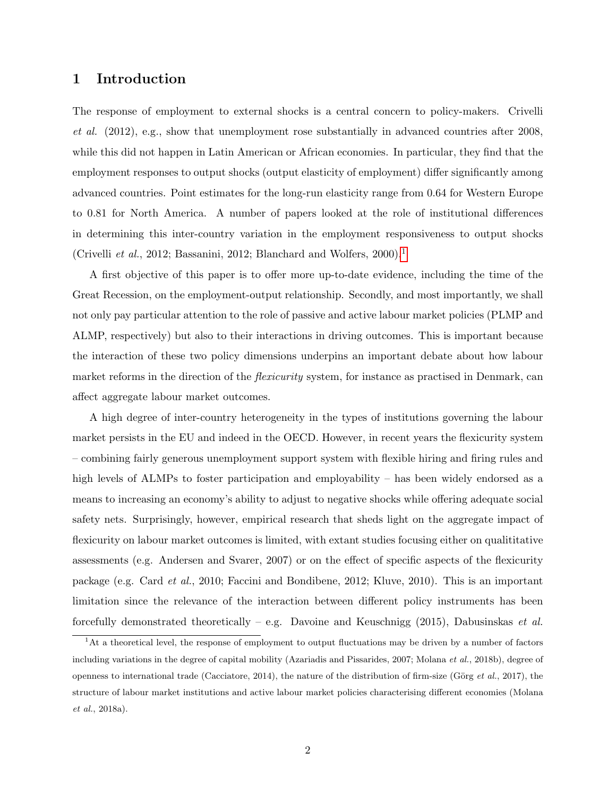### 1 Introduction

The response of employment to external shocks is a central concern to policy-makers. Crivelli et al. (2012), e.g., show that unemployment rose substantially in advanced countries after 2008, while this did not happen in Latin American or African economies. In particular, they find that the employment responses to output shocks (output elasticity of employment) differ significantly among advanced countries. Point estimates for the long-run elasticity range from 0.64 for Western Europe to 0.81 for North America. A number of papers looked at the role of institutional differences in determining this inter-country variation in the employment responsiveness to output shocks (Crivelli et al., 20[1](#page-3-0)2; Bassanini, 2012; Blanchard and Wolfers, 2000).<sup>1</sup>

A first objective of this paper is to offer more up-to-date evidence, including the time of the Great Recession, on the employment-output relationship. Secondly, and most importantly, we shall not only pay particular attention to the role of passive and active labour market policies (PLMP and ALMP, respectively) but also to their interactions in driving outcomes. This is important because the interaction of these two policy dimensions underpins an important debate about how labour market reforms in the direction of the *flexicurity* system, for instance as practised in Denmark, can affect aggregate labour market outcomes.

A high degree of inter-country heterogeneity in the types of institutions governing the labour market persists in the EU and indeed in the OECD. However, in recent years the flexicurity system – combining fairly generous unemployment support system with flexible hiring and firing rules and high levels of ALMPs to foster participation and employability – has been widely endorsed as a means to increasing an economy's ability to adjust to negative shocks while offering adequate social safety nets. Surprisingly, however, empirical research that sheds light on the aggregate impact of flexicurity on labour market outcomes is limited, with extant studies focusing either on qualititative assessments (e.g. Andersen and Svarer, 2007) or on the effect of specific aspects of the flexicurity package (e.g. Card et al., 2010; Faccini and Bondibene, 2012; Kluve, 2010). This is an important limitation since the relevance of the interaction between different policy instruments has been forcefully demonstrated theoretically – e.g. Davoine and Keuschnigg (2015), Dabusinskas *et al.* 

<span id="page-3-0"></span><sup>1</sup>At a theoretical level, the response of employment to output fluctuations may be driven by a number of factors including variations in the degree of capital mobility (Azariadis and Pissarides, 2007; Molana et al., 2018b), degree of openness to international trade (Cacciatore, 2014), the nature of the distribution of firm-size (Görg *et al.*, 2017), the structure of labour market institutions and active labour market policies characterising different economies (Molana et al., 2018a).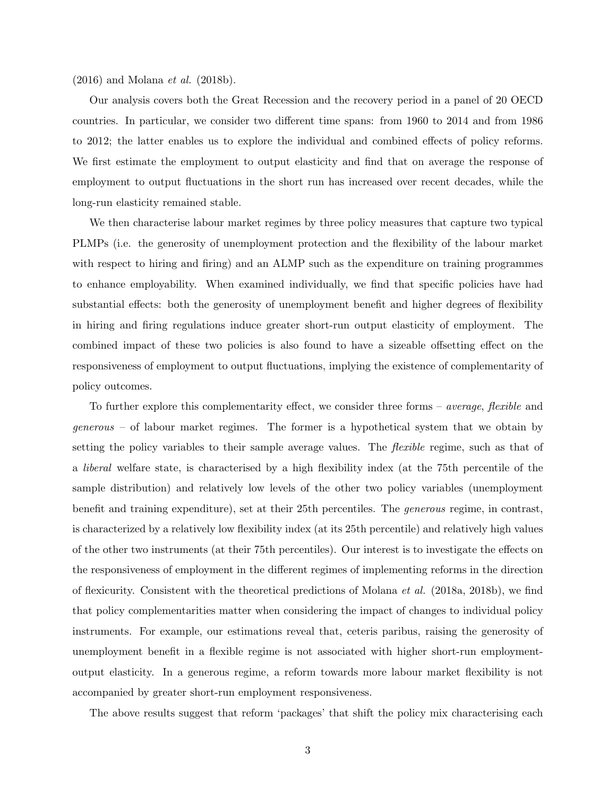(2016) and Molana et al. (2018b).

Our analysis covers both the Great Recession and the recovery period in a panel of 20 OECD countries. In particular, we consider two different time spans: from 1960 to 2014 and from 1986 to 2012; the latter enables us to explore the individual and combined effects of policy reforms. We first estimate the employment to output elasticity and find that on average the response of employment to output fluctuations in the short run has increased over recent decades, while the long-run elasticity remained stable.

We then characterise labour market regimes by three policy measures that capture two typical PLMPs (i.e. the generosity of unemployment protection and the flexibility of the labour market with respect to hiring and firing) and an ALMP such as the expenditure on training programmes to enhance employability. When examined individually, we find that specific policies have had substantial effects: both the generosity of unemployment benefit and higher degrees of flexibility in hiring and firing regulations induce greater short-run output elasticity of employment. The combined impact of these two policies is also found to have a sizeable offsetting effect on the responsiveness of employment to output fluctuations, implying the existence of complementarity of policy outcomes.

To further explore this complementarity effect, we consider three forms – *average*, *flexible* and generous – of labour market regimes. The former is a hypothetical system that we obtain by setting the policy variables to their sample average values. The *flexible* regime, such as that of a liberal welfare state, is characterised by a high flexibility index (at the 75th percentile of the sample distribution) and relatively low levels of the other two policy variables (unemployment benefit and training expenditure), set at their 25th percentiles. The generous regime, in contrast, is characterized by a relatively low flexibility index (at its 25th percentile) and relatively high values of the other two instruments (at their 75th percentiles). Our interest is to investigate the effects on the responsiveness of employment in the different regimes of implementing reforms in the direction of flexicurity. Consistent with the theoretical predictions of Molana *et al.* (2018a, 2018b), we find that policy complementarities matter when considering the impact of changes to individual policy instruments. For example, our estimations reveal that, ceteris paribus, raising the generosity of unemployment benefit in a flexible regime is not associated with higher short-run employmentoutput elasticity. In a generous regime, a reform towards more labour market flexibility is not accompanied by greater short-run employment responsiveness.

The above results suggest that reform 'packages' that shift the policy mix characterising each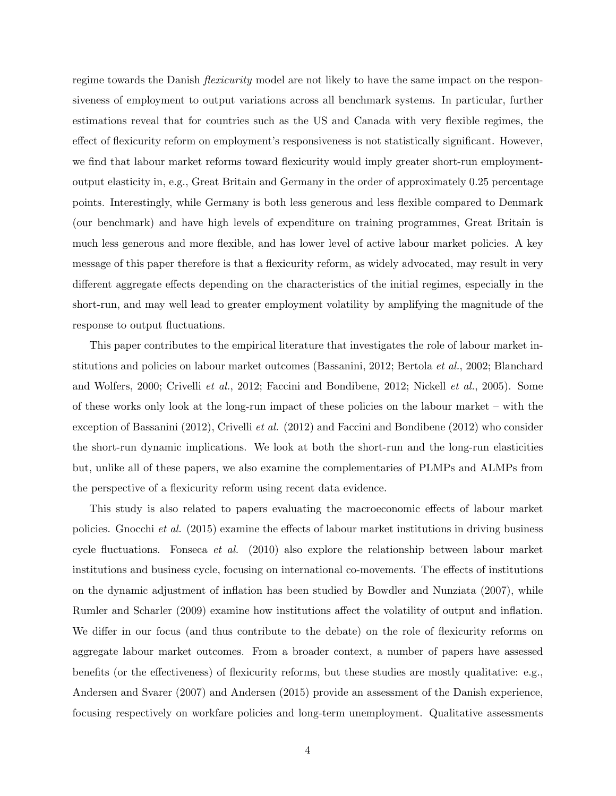regime towards the Danish *flexicurity* model are not likely to have the same impact on the responsiveness of employment to output variations across all benchmark systems. In particular, further estimations reveal that for countries such as the US and Canada with very flexible regimes, the effect of flexicurity reform on employment's responsiveness is not statistically significant. However, we find that labour market reforms toward flexicurity would imply greater short-run employmentoutput elasticity in, e.g., Great Britain and Germany in the order of approximately 0.25 percentage points. Interestingly, while Germany is both less generous and less flexible compared to Denmark (our benchmark) and have high levels of expenditure on training programmes, Great Britain is much less generous and more flexible, and has lower level of active labour market policies. A key message of this paper therefore is that a flexicurity reform, as widely advocated, may result in very different aggregate effects depending on the characteristics of the initial regimes, especially in the short-run, and may well lead to greater employment volatility by amplifying the magnitude of the response to output fluctuations.

This paper contributes to the empirical literature that investigates the role of labour market institutions and policies on labour market outcomes (Bassanini, 2012; Bertola et al., 2002; Blanchard and Wolfers, 2000; Crivelli et al., 2012; Faccini and Bondibene, 2012; Nickell et al., 2005). Some of these works only look at the long-run impact of these policies on the labour market – with the exception of Bassanini (2012), Crivelli et al. (2012) and Faccini and Bondibene (2012) who consider the short-run dynamic implications. We look at both the short-run and the long-run elasticities but, unlike all of these papers, we also examine the complementaries of PLMPs and ALMPs from the perspective of a flexicurity reform using recent data evidence.

This study is also related to papers evaluating the macroeconomic effects of labour market policies. Gnocchi et al. (2015) examine the effects of labour market institutions in driving business cycle fluctuations. Fonseca et al. (2010) also explore the relationship between labour market institutions and business cycle, focusing on international co-movements. The effects of institutions on the dynamic adjustment of inflation has been studied by Bowdler and Nunziata (2007), while Rumler and Scharler (2009) examine how institutions affect the volatility of output and inflation. We differ in our focus (and thus contribute to the debate) on the role of flexicurity reforms on aggregate labour market outcomes. From a broader context, a number of papers have assessed benefits (or the effectiveness) of flexicurity reforms, but these studies are mostly qualitative: e.g., Andersen and Svarer (2007) and Andersen (2015) provide an assessment of the Danish experience, focusing respectively on workfare policies and long-term unemployment. Qualitative assessments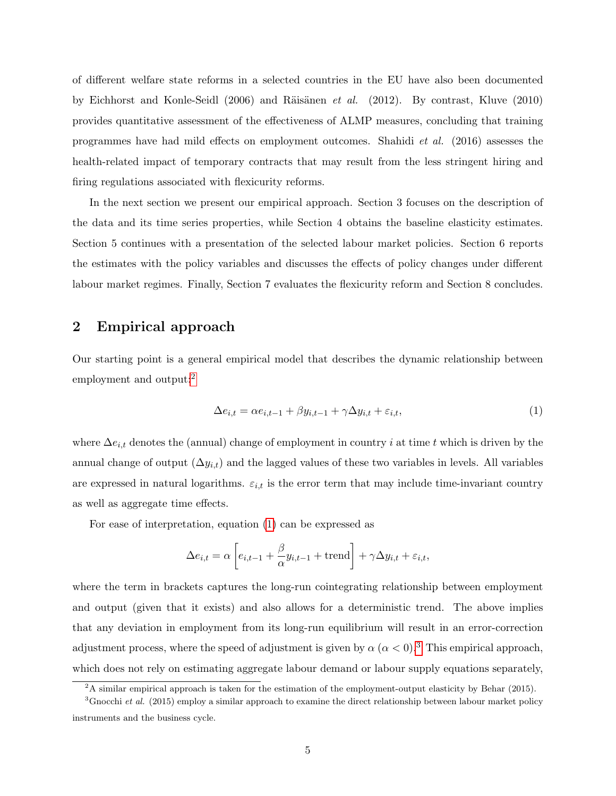of different welfare state reforms in a selected countries in the EU have also been documented by Eichhorst and Konle-Seidl (2006) and Räisänen *et al.* (2012). By contrast, Kluve (2010) provides quantitative assessment of the effectiveness of ALMP measures, concluding that training programmes have had mild effects on employment outcomes. Shahidi et al. (2016) assesses the health-related impact of temporary contracts that may result from the less stringent hiring and firing regulations associated with flexicurity reforms.

In the next section we present our empirical approach. Section 3 focuses on the description of the data and its time series properties, while Section 4 obtains the baseline elasticity estimates. Section 5 continues with a presentation of the selected labour market policies. Section 6 reports the estimates with the policy variables and discusses the effects of policy changes under different labour market regimes. Finally, Section 7 evaluates the flexicurity reform and Section 8 concludes.

### 2 Empirical approach

Our starting point is a general empirical model that describes the dynamic relationship between employment and output:<sup>[2](#page-6-0)</sup>

<span id="page-6-1"></span>
$$
\Delta e_{i,t} = \alpha e_{i,t-1} + \beta y_{i,t-1} + \gamma \Delta y_{i,t} + \varepsilon_{i,t},\tag{1}
$$

where  $\Delta e_{i,t}$  denotes the (annual) change of employment in country i at time t which is driven by the annual change of output  $(\Delta y_{i,t})$  and the lagged values of these two variables in levels. All variables are expressed in natural logarithms.  $\varepsilon_{i,t}$  is the error term that may include time-invariant country as well as aggregate time effects.

For ease of interpretation, equation [\(1\)](#page-6-1) can be expressed as

$$
\Delta e_{i,t} = \alpha \left[ e_{i,t-1} + \frac{\beta}{\alpha} y_{i,t-1} + \text{trend} \right] + \gamma \Delta y_{i,t} + \varepsilon_{i,t},
$$

where the term in brackets captures the long-run cointegrating relationship between employment and output (given that it exists) and also allows for a deterministic trend. The above implies that any deviation in employment from its long-run equilibrium will result in an error-correction adjustment process, where the speed of adjustment is given by  $\alpha$  ( $\alpha$  < 0).<sup>[3](#page-6-2)</sup> This empirical approach, which does not rely on estimating aggregate labour demand or labour supply equations separately,

<span id="page-6-2"></span><span id="page-6-0"></span> $2A$  similar empirical approach is taken for the estimation of the employment-output elasticity by Behar (2015).

 ${}^{3}$ Gnocchi et al. (2015) employ a similar approach to examine the direct relationship between labour market policy instruments and the business cycle.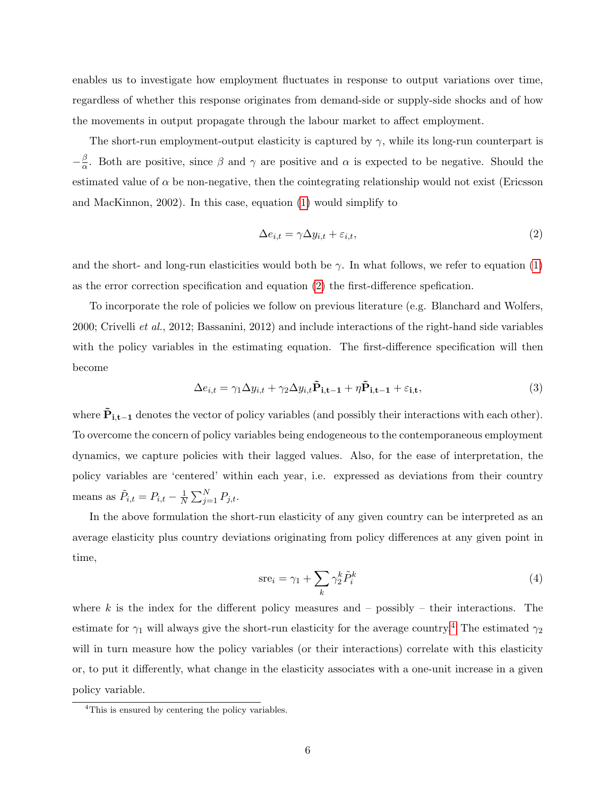enables us to investigate how employment fluctuates in response to output variations over time, regardless of whether this response originates from demand-side or supply-side shocks and of how the movements in output propagate through the labour market to affect employment.

The short-run employment-output elasticity is captured by  $\gamma$ , while its long-run counterpart is  $-\frac{\beta}{\alpha}$  $\frac{\beta}{\alpha}$ . Both are positive, since β and γ are positive and α is expected to be negative. Should the estimated value of  $\alpha$  be non-negative, then the cointegrating relationship would not exist (Ericsson and MacKinnon, 2002). In this case, equation [\(1\)](#page-6-1) would simplify to

<span id="page-7-0"></span>
$$
\Delta e_{i,t} = \gamma \Delta y_{i,t} + \varepsilon_{i,t},\tag{2}
$$

and the short- and long-run elasticities would both be  $\gamma$ . In what follows, we refer to equation [\(1\)](#page-6-1) as the error correction specification and equation [\(2\)](#page-7-0) the first-difference spefication.

To incorporate the role of policies we follow on previous literature (e.g. Blanchard and Wolfers, 2000; Crivelli et al., 2012; Bassanini, 2012) and include interactions of the right-hand side variables with the policy variables in the estimating equation. The first-difference specification will then become

<span id="page-7-2"></span>
$$
\Delta e_{i,t} = \gamma_1 \Delta y_{i,t} + \gamma_2 \Delta y_{i,t} \tilde{\mathbf{P}}_{i,t-1} + \eta \tilde{\mathbf{P}}_{i,t-1} + \varepsilon_{i,t},\tag{3}
$$

where  $\tilde{P}_{i,t-1}$  denotes the vector of policy variables (and possibly their interactions with each other). To overcome the concern of policy variables being endogeneous to the contemporaneous employment dynamics, we capture policies with their lagged values. Also, for the ease of interpretation, the policy variables are 'centered' within each year, i.e. expressed as deviations from their country means as  $\tilde{P}_{i,t} = P_{i,t} - \frac{1}{N}$  $\frac{1}{N} \sum_{j=1}^{N} P_{j,t}.$ 

In the above formulation the short-run elasticity of any given country can be interpreted as an average elasticity plus country deviations originating from policy differences at any given point in time,

<span id="page-7-3"></span>
$$
\text{src}_i = \gamma_1 + \sum_k \gamma_2^k \tilde{P}_i^k \tag{4}
$$

where k is the index for the different policy measures and – possibly – their interactions. The estimate for  $\gamma_1$  will always give the short-run elasticity for the average country.<sup>[4](#page-7-1)</sup> The estimated  $\gamma_2$ will in turn measure how the policy variables (or their interactions) correlate with this elasticity or, to put it differently, what change in the elasticity associates with a one-unit increase in a given policy variable.

<span id="page-7-1"></span><sup>&</sup>lt;sup>4</sup>This is ensured by centering the policy variables.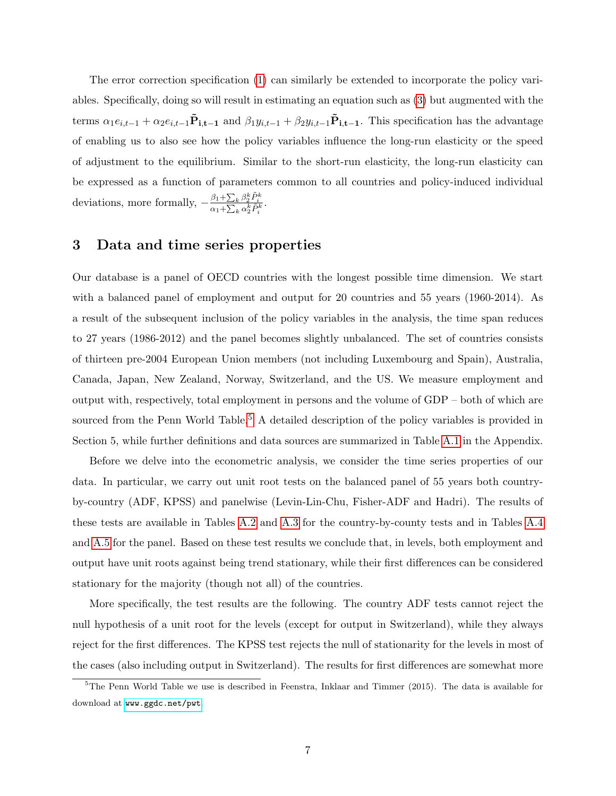The error correction specification [\(1\)](#page-6-1) can similarly be extended to incorporate the policy variables. Specifically, doing so will result in estimating an equation such as [\(3\)](#page-7-2) but augmented with the terms  $\alpha_1e_{i,t-1} + \alpha_2e_{i,t-1}\tilde{\mathbf{P}}_{i,t-1}$  and  $\beta_1y_{i,t-1} + \beta_2y_{i,t-1}\tilde{\mathbf{P}}_{i,t-1}$ . This specification has the advantage of enabling us to also see how the policy variables influence the long-run elasticity or the speed of adjustment to the equilibrium. Similar to the short-run elasticity, the long-run elasticity can be expressed as a function of parameters common to all countries and policy-induced individual deviations, more formally,  $-\frac{\beta_1 + \sum_k \beta_2^k \tilde{P}_i^k}{\alpha_1 + \sum_k \alpha_2^k \tilde{P}_i^k}$ .

### 3 Data and time series properties

Our database is a panel of OECD countries with the longest possible time dimension. We start with a balanced panel of employment and output for 20 countries and 55 years (1960-2014). As a result of the subsequent inclusion of the policy variables in the analysis, the time span reduces to 27 years (1986-2012) and the panel becomes slightly unbalanced. The set of countries consists of thirteen pre-2004 European Union members (not including Luxembourg and Spain), Australia, Canada, Japan, New Zealand, Norway, Switzerland, and the US. We measure employment and output with, respectively, total employment in persons and the volume of GDP – both of which are sourced from the Penn World Table.<sup>[5](#page-8-0)</sup> A detailed description of the policy variables is provided in Section 5, while further definitions and data sources are summarized in Table [A.1](#page-10-0) in the Appendix.

Before we delve into the econometric analysis, we consider the time series properties of our data. In particular, we carry out unit root tests on the balanced panel of 55 years both countryby-country (ADF, KPSS) and panelwise (Levin-Lin-Chu, Fisher-ADF and Hadri). The results of these tests are available in Tables [A.2](#page-13-0) and [A.3](#page-18-0) for the country-by-county tests and in Tables [A.4](#page-30-0) and [A.5](#page-31-0) for the panel. Based on these test results we conclude that, in levels, both employment and output have unit roots against being trend stationary, while their first differences can be considered stationary for the majority (though not all) of the countries.

More specifically, the test results are the following. The country ADF tests cannot reject the null hypothesis of a unit root for the levels (except for output in Switzerland), while they always reject for the first differences. The KPSS test rejects the null of stationarity for the levels in most of the cases (also including output in Switzerland). The results for first differences are somewhat more

<span id="page-8-0"></span> $5$ The Penn World Table we use is described in Feenstra, Inklaar and Timmer (2015). The data is available for download at <www.ggdc.net/pwt>.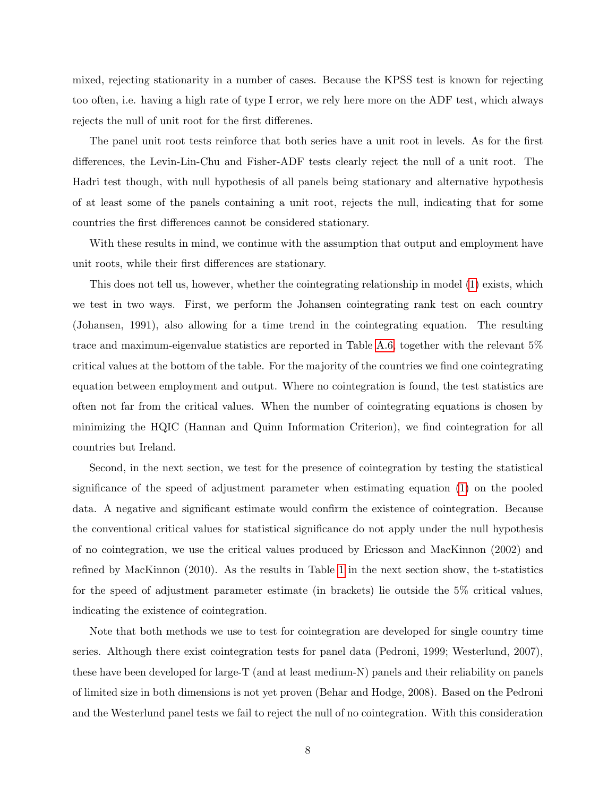mixed, rejecting stationarity in a number of cases. Because the KPSS test is known for rejecting too often, i.e. having a high rate of type I error, we rely here more on the ADF test, which always rejects the null of unit root for the first differenes.

The panel unit root tests reinforce that both series have a unit root in levels. As for the first differences, the Levin-Lin-Chu and Fisher-ADF tests clearly reject the null of a unit root. The Hadri test though, with null hypothesis of all panels being stationary and alternative hypothesis of at least some of the panels containing a unit root, rejects the null, indicating that for some countries the first differences cannot be considered stationary.

With these results in mind, we continue with the assumption that output and employment have unit roots, while their first differences are stationary.

This does not tell us, however, whether the cointegrating relationship in model [\(1\)](#page-6-1) exists, which we test in two ways. First, we perform the Johansen cointegrating rank test on each country (Johansen, 1991), also allowing for a time trend in the cointegrating equation. The resulting trace and maximum-eigenvalue statistics are reported in Table [A.6,](#page-32-0) together with the relevant 5% critical values at the bottom of the table. For the majority of the countries we find one cointegrating equation between employment and output. Where no cointegration is found, the test statistics are often not far from the critical values. When the number of cointegrating equations is chosen by minimizing the HQIC (Hannan and Quinn Information Criterion), we find cointegration for all countries but Ireland.

Second, in the next section, we test for the presence of cointegration by testing the statistical significance of the speed of adjustment parameter when estimating equation [\(1\)](#page-6-1) on the pooled data. A negative and significant estimate would confirm the existence of cointegration. Because the conventional critical values for statistical significance do not apply under the null hypothesis of no cointegration, we use the critical values produced by Ericsson and MacKinnon (2002) and refined by MacKinnon (2010). As the results in Table [1](#page-10-0) in the next section show, the t-statistics for the speed of adjustment parameter estimate (in brackets) lie outside the 5% critical values, indicating the existence of cointegration.

Note that both methods we use to test for cointegration are developed for single country time series. Although there exist cointegration tests for panel data (Pedroni, 1999; Westerlund, 2007), these have been developed for large-T (and at least medium-N) panels and their reliability on panels of limited size in both dimensions is not yet proven (Behar and Hodge, 2008). Based on the Pedroni and the Westerlund panel tests we fail to reject the null of no cointegration. With this consideration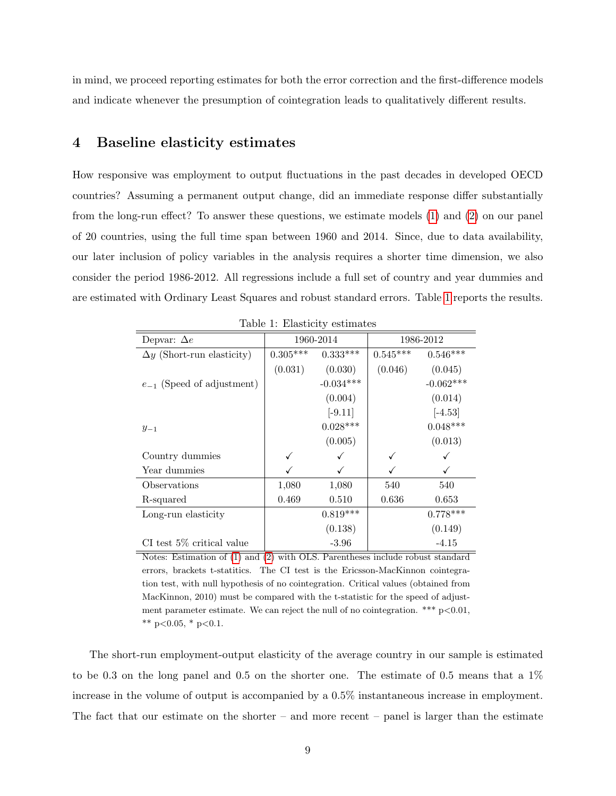in mind, we proceed reporting estimates for both the error correction and the first-difference models and indicate whenever the presumption of cointegration leads to qualitatively different results.

#### <span id="page-10-1"></span>4 Baseline elasticity estimates

How responsive was employment to output fluctuations in the past decades in developed OECD countries? Assuming a permanent output change, did an immediate response differ substantially from the long-run effect? To answer these questions, we estimate models [\(1\)](#page-6-1) and [\(2\)](#page-7-0) on our panel of 20 countries, using the full time span between 1960 and 2014. Since, due to data availability, our later inclusion of policy variables in the analysis requires a shorter time dimension, we also consider the period 1986-2012. All regressions include a full set of country and year dummies and are estimated with Ordinary Least Squares and robust standard errors. Table [1](#page-10-0) reports the results.

| Depvar: $\Delta e$                |            | 1960-2014   |            | 1986-2012   |
|-----------------------------------|------------|-------------|------------|-------------|
| $\Delta y$ (Short-run elasticity) | $0.305***$ | $0.333***$  | $0.545***$ | $0.546***$  |
|                                   | (0.031)    | (0.030)     | (0.046)    | (0.045)     |
| $e_{-1}$ (Speed of adjustment)    |            | $-0.034***$ |            | $-0.062***$ |
|                                   |            | (0.004)     |            | (0.014)     |
|                                   |            | $[-9.11]$   |            | $[-4.53]$   |
| $y_{-1}$                          |            | $0.028***$  |            | $0.048***$  |
|                                   |            | (0.005)     |            | (0.013)     |
| Country dummies                   |            |             |            |             |
| Year dummies                      |            | √           |            | ✓           |
| Observations                      | 1,080      | 1,080       | 540        | 540         |
| R-squared                         | 0.469      | 0.510       | 0.636      | 0.653       |
| Long-run elasticity               |            | $0.819***$  |            | $0.778***$  |
|                                   |            | (0.138)     |            | (0.149)     |
| $CI$ test 5% critical value       |            | $-3.96$     |            | $-4.15$     |

<span id="page-10-0"></span>Table 1: Elasticity estimates

Notes: Estimation of [\(1\)](#page-6-1) and [\(2\)](#page-7-0) with OLS. Parentheses include robust standard errors, brackets t-statitics. The CI test is the Ericsson-MacKinnon cointegration test, with null hypothesis of no cointegration. Critical values (obtained from MacKinnon, 2010) must be compared with the t-statistic for the speed of adjustment parameter estimate. We can reject the null of no cointegration. \*\*\*  $p < 0.01$ , \*\* p<0.05,  $*$  p<0.1.

The short-run employment-output elasticity of the average country in our sample is estimated to be 0.3 on the long panel and 0.5 on the shorter one. The estimate of 0.5 means that a 1% increase in the volume of output is accompanied by a 0.5% instantaneous increase in employment. The fact that our estimate on the shorter – and more recent – panel is larger than the estimate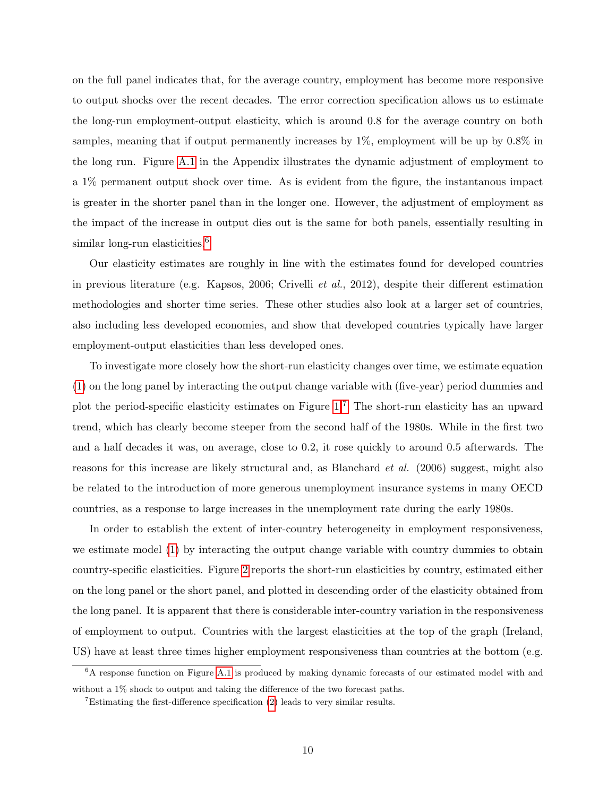on the full panel indicates that, for the average country, employment has become more responsive to output shocks over the recent decades. The error correction specification allows us to estimate the long-run employment-output elasticity, which is around 0.8 for the average country on both samples, meaning that if output permanently increases by  $1\%$ , employment will be up by 0.8% in the long run. Figure [A.1](#page-12-0) in the Appendix illustrates the dynamic adjustment of employment to a 1% permanent output shock over time. As is evident from the figure, the instantanous impact is greater in the shorter panel than in the longer one. However, the adjustment of employment as the impact of the increase in output dies out is the same for both panels, essentially resulting in similar long-run elasticities.<sup>[6](#page-11-0)</sup>

Our elasticity estimates are roughly in line with the estimates found for developed countries in previous literature (e.g. Kapsos, 2006; Crivelli et al., 2012), despite their different estimation methodologies and shorter time series. These other studies also look at a larger set of countries, also including less developed economies, and show that developed countries typically have larger employment-output elasticities than less developed ones.

To investigate more closely how the short-run elasticity changes over time, we estimate equation [\(1\)](#page-6-1) on the long panel by interacting the output change variable with (five-year) period dummies and plot the period-specific elasticity estimates on Figure [1.](#page-12-0)[7](#page-11-1) The short-run elasticity has an upward trend, which has clearly become steeper from the second half of the 1980s. While in the first two and a half decades it was, on average, close to 0.2, it rose quickly to around 0.5 afterwards. The reasons for this increase are likely structural and, as Blanchard *et al.* (2006) suggest, might also be related to the introduction of more generous unemployment insurance systems in many OECD countries, as a response to large increases in the unemployment rate during the early 1980s.

In order to establish the extent of inter-country heterogeneity in employment responsiveness, we estimate model [\(1\)](#page-6-1) by interacting the output change variable with country dummies to obtain country-specific elasticities. Figure [2](#page-12-1) reports the short-run elasticities by country, estimated either on the long panel or the short panel, and plotted in descending order of the elasticity obtained from the long panel. It is apparent that there is considerable inter-country variation in the responsiveness of employment to output. Countries with the largest elasticities at the top of the graph (Ireland, US) have at least three times higher employment responsiveness than countries at the bottom (e.g.

<span id="page-11-0"></span><sup>6</sup>A response function on Figure [A.1](#page-12-0) is produced by making dynamic forecasts of our estimated model with and without a 1% shock to output and taking the difference of the two forecast paths.

<span id="page-11-1"></span><sup>&</sup>lt;sup>7</sup>Estimating the first-difference specification  $(2)$  leads to very similar results.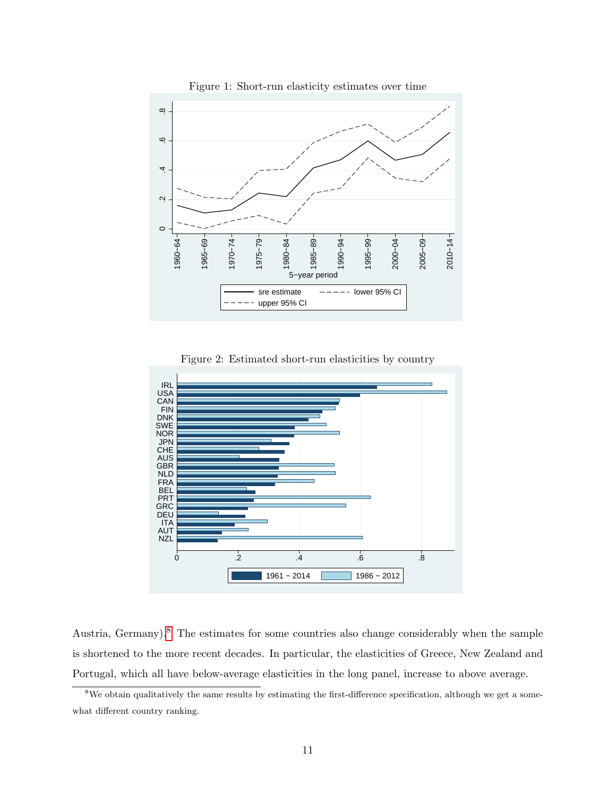

<span id="page-12-0"></span>Figure 1: Short-run elasticity estimates over time

<span id="page-12-1"></span>Figure 2: Estimated short-run elasticities by country



Austria, Germany).<sup>[8](#page-12-2)</sup> The estimates for some countries also change considerably when the sample is shortened to the more recent decades. In particular, the elasticities of Greece, New Zealand and Portugal, which all have below-average elasticities in the long panel, increase to above average.

<span id="page-12-2"></span><sup>&</sup>lt;sup>8</sup>We obtain qualitatively the same results by estimating the first-difference specification, although we get a somewhat different country ranking.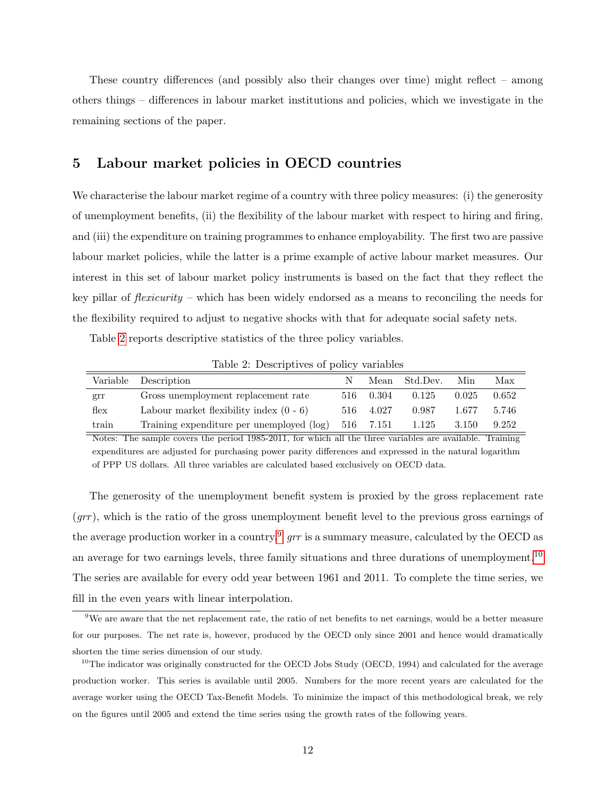These country differences (and possibly also their changes over time) might reflect – among others things – differences in labour market institutions and policies, which we investigate in the remaining sections of the paper.

#### 5 Labour market policies in OECD countries

We characterise the labour market regime of a country with three policy measures: (i) the generosity of unemployment benefits, (ii) the flexibility of the labour market with respect to hiring and firing, and (iii) the expenditure on training programmes to enhance employability. The first two are passive labour market policies, while the latter is a prime example of active labour market measures. Our interest in this set of labour market policy instruments is based on the fact that they reflect the key pillar of *flexicurity* – which has been widely endorsed as a means to reconciling the needs for the flexibility required to adjust to negative shocks with that for adequate social safety nets.

Table [2](#page-13-0) reports descriptive statistics of the three policy variables.

|                  | Variable Description                      | N    |           | Mean Std.Dev. | Min   | Max   |
|------------------|-------------------------------------------|------|-----------|---------------|-------|-------|
| grr              | Gross unemployment replacement rate       | 516- | 0.304     | 0.125         | 0.025 | 0.652 |
| $f_{\text{lex}}$ | Labour market flexibility index $(0 - 6)$ |      | 516 4.027 | 0.987         | 1.677 | 5.746 |
| train            | Training expenditure per unemployed (log) |      | 516 7.151 | 1.125         | 3.150 | 9.252 |
|                  |                                           |      |           |               |       |       |

<span id="page-13-0"></span>Table 2: Descriptives of policy variables

Notes: The sample covers the period 1985-2011, for which all the three variables are available. Training expenditures are adjusted for purchasing power parity differences and expressed in the natural logarithm of PPP US dollars. All three variables are calculated based exclusively on OECD data.

The generosity of the unemployment benefit system is proxied by the gross replacement rate  $(qrr)$ , which is the ratio of the gross unemployment benefit level to the previous gross earnings of the average production worker in a country.<sup>[9](#page-13-1)</sup>  $\eta r$  is a summary measure, calculated by the OECD as an average for two earnings levels, three family situations and three durations of unemployment.<sup>[10](#page-13-2)</sup> The series are available for every odd year between 1961 and 2011. To complete the time series, we fill in the even years with linear interpolation.

<span id="page-13-1"></span> $9$ We are aware that the net replacement rate, the ratio of net benefits to net earnings, would be a better measure for our purposes. The net rate is, however, produced by the OECD only since 2001 and hence would dramatically shorten the time series dimension of our study.

<span id="page-13-2"></span> $10$ The indicator was originally constructed for the OECD Jobs Study (OECD, 1994) and calculated for the average production worker. This series is available until 2005. Numbers for the more recent years are calculated for the average worker using the OECD Tax-Benefit Models. To minimize the impact of this methodological break, we rely on the figures until 2005 and extend the time series using the growth rates of the following years.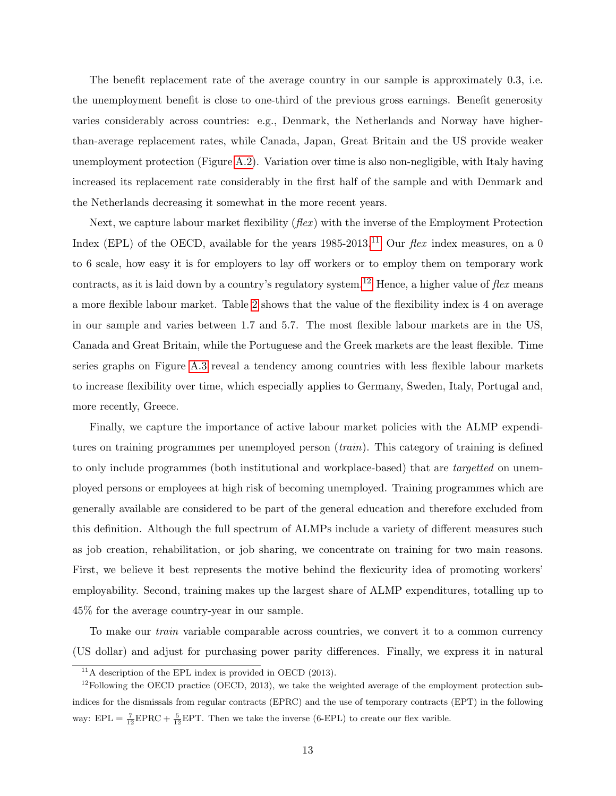The benefit replacement rate of the average country in our sample is approximately 0.3, i.e. the unemployment benefit is close to one-third of the previous gross earnings. Benefit generosity varies considerably across countries: e.g., Denmark, the Netherlands and Norway have higherthan-average replacement rates, while Canada, Japan, Great Britain and the US provide weaker unemployment protection (Figure [A.2\)](#page-12-1). Variation over time is also non-negligible, with Italy having increased its replacement rate considerably in the first half of the sample and with Denmark and the Netherlands decreasing it somewhat in the more recent years.

Next, we capture labour market flexibility  $(flex)$  with the inverse of the Employment Protection Index (EPL) of the OECD, available for the years  $1985-2013$ .<sup>[11](#page-14-0)</sup> Our *flex* index measures, on a 0 to 6 scale, how easy it is for employers to lay off workers or to employ them on temporary work contracts, as it is laid down by a country's regulatory system.<sup>[12](#page-14-1)</sup> Hence, a higher value of flex means a more flexible labour market. Table [2](#page-13-0) shows that the value of the flexibility index is 4 on average in our sample and varies between 1.7 and 5.7. The most flexible labour markets are in the US, Canada and Great Britain, while the Portuguese and the Greek markets are the least flexible. Time series graphs on Figure [A.3](#page-20-0) reveal a tendency among countries with less flexible labour markets to increase flexibility over time, which especially applies to Germany, Sweden, Italy, Portugal and, more recently, Greece.

Finally, we capture the importance of active labour market policies with the ALMP expenditures on training programmes per unemployed person (train). This category of training is defined to only include programmes (both institutional and workplace-based) that are *targetted* on unemployed persons or employees at high risk of becoming unemployed. Training programmes which are generally available are considered to be part of the general education and therefore excluded from this definition. Although the full spectrum of ALMPs include a variety of different measures such as job creation, rehabilitation, or job sharing, we concentrate on training for two main reasons. First, we believe it best represents the motive behind the flexicurity idea of promoting workers' employability. Second, training makes up the largest share of ALMP expenditures, totalling up to 45% for the average country-year in our sample.

To make our train variable comparable across countries, we convert it to a common currency (US dollar) and adjust for purchasing power parity differences. Finally, we express it in natural

<span id="page-14-1"></span><span id="page-14-0"></span> $11$ A description of the EPL index is provided in OECD (2013).

 $12$ Following the OECD practice (OECD, 2013), we take the weighted average of the employment protection subindices for the dismissals from regular contracts (EPRC) and the use of temporary contracts (EPT) in the following way:  $EPL = \frac{7}{12}EPRC + \frac{5}{12}EPT$ . Then we take the inverse (6-EPL) to create our flex varible.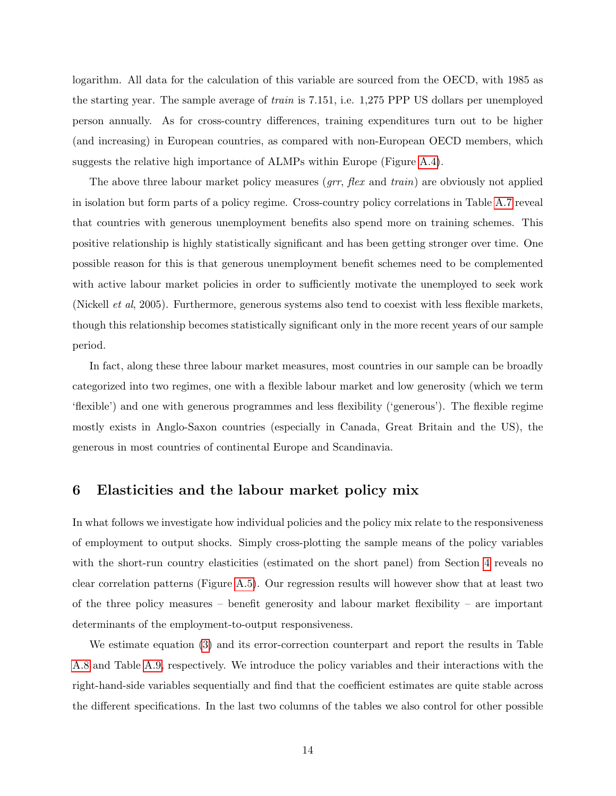logarithm. All data for the calculation of this variable are sourced from the OECD, with 1985 as the starting year. The sample average of train is 7.151, i.e. 1,275 PPP US dollars per unemployed person annually. As for cross-country differences, training expenditures turn out to be higher (and increasing) in European countries, as compared with non-European OECD members, which suggests the relative high importance of ALMPs within Europe (Figure [A.4\)](#page-27-0).

The above three labour market policy measures (grr, flex and train) are obviously not applied in isolation but form parts of a policy regime. Cross-country policy correlations in Table [A.7](#page-33-0) reveal that countries with generous unemployment benefits also spend more on training schemes. This positive relationship is highly statistically significant and has been getting stronger over time. One possible reason for this is that generous unemployment benefit schemes need to be complemented with active labour market policies in order to sufficiently motivate the unemployed to seek work (Nickell et al, 2005). Furthermore, generous systems also tend to coexist with less flexible markets, though this relationship becomes statistically significant only in the more recent years of our sample period.

In fact, along these three labour market measures, most countries in our sample can be broadly categorized into two regimes, one with a flexible labour market and low generosity (which we term 'flexible') and one with generous programmes and less flexibility ('generous'). The flexible regime mostly exists in Anglo-Saxon countries (especially in Canada, Great Britain and the US), the generous in most countries of continental Europe and Scandinavia.

#### 6 Elasticities and the labour market policy mix

In what follows we investigate how individual policies and the policy mix relate to the responsiveness of employment to output shocks. Simply cross-plotting the sample means of the policy variables with the short-run country elasticities (estimated on the short panel) from Section [4](#page-10-1) reveals no clear correlation patterns (Figure [A.5\)](#page-28-0). Our regression results will however show that at least two of the three policy measures – benefit generosity and labour market flexibility – are important determinants of the employment-to-output responsiveness.

We estimate equation [\(3\)](#page-7-2) and its error-correction counterpart and report the results in Table [A.8](#page-34-0) and Table [A.9,](#page-35-0) respectively. We introduce the policy variables and their interactions with the right-hand-side variables sequentially and find that the coefficient estimates are quite stable across the different specifications. In the last two columns of the tables we also control for other possible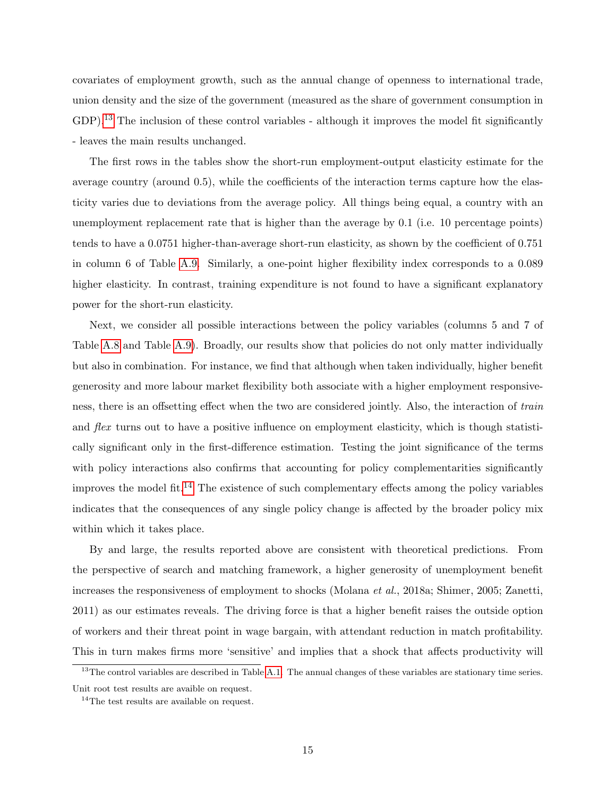covariates of employment growth, such as the annual change of openness to international trade, union density and the size of the government (measured as the share of government consumption in GDP).<sup>[13](#page-16-0)</sup> The inclusion of these control variables - although it improves the model fit significantly - leaves the main results unchanged.

The first rows in the tables show the short-run employment-output elasticity estimate for the average country (around 0.5), while the coefficients of the interaction terms capture how the elasticity varies due to deviations from the average policy. All things being equal, a country with an unemployment replacement rate that is higher than the average by 0.1 (i.e. 10 percentage points) tends to have a 0.0751 higher-than-average short-run elasticity, as shown by the coefficient of 0.751 in column 6 of Table [A.9.](#page-35-0) Similarly, a one-point higher flexibility index corresponds to a 0.089 higher elasticity. In contrast, training expenditure is not found to have a significant explanatory power for the short-run elasticity.

Next, we consider all possible interactions between the policy variables (columns 5 and 7 of Table [A.8](#page-34-0) and Table [A.9\)](#page-35-0). Broadly, our results show that policies do not only matter individually but also in combination. For instance, we find that although when taken individually, higher benefit generosity and more labour market flexibility both associate with a higher employment responsiveness, there is an offsetting effect when the two are considered jointly. Also, the interaction of train and *flex* turns out to have a positive influence on employment elasticity, which is though statistically significant only in the first-difference estimation. Testing the joint significance of the terms with policy interactions also confirms that accounting for policy complementarities significantly improves the model fit.<sup>[14](#page-16-1)</sup> The existence of such complementary effects among the policy variables indicates that the consequences of any single policy change is affected by the broader policy mix within which it takes place.

By and large, the results reported above are consistent with theoretical predictions. From the perspective of search and matching framework, a higher generosity of unemployment benefit increases the responsiveness of employment to shocks (Molana et al., 2018a; Shimer, 2005; Zanetti, 2011) as our estimates reveals. The driving force is that a higher benefit raises the outside option of workers and their threat point in wage bargain, with attendant reduction in match profitability. This in turn makes firms more 'sensitive' and implies that a shock that affects productivity will

<span id="page-16-0"></span> $13$ The control variables are described in Table [A.1.](#page-10-0) The annual changes of these variables are stationary time series. Unit root test results are avaible on request.

<span id="page-16-1"></span><sup>&</sup>lt;sup>14</sup>The test results are available on request.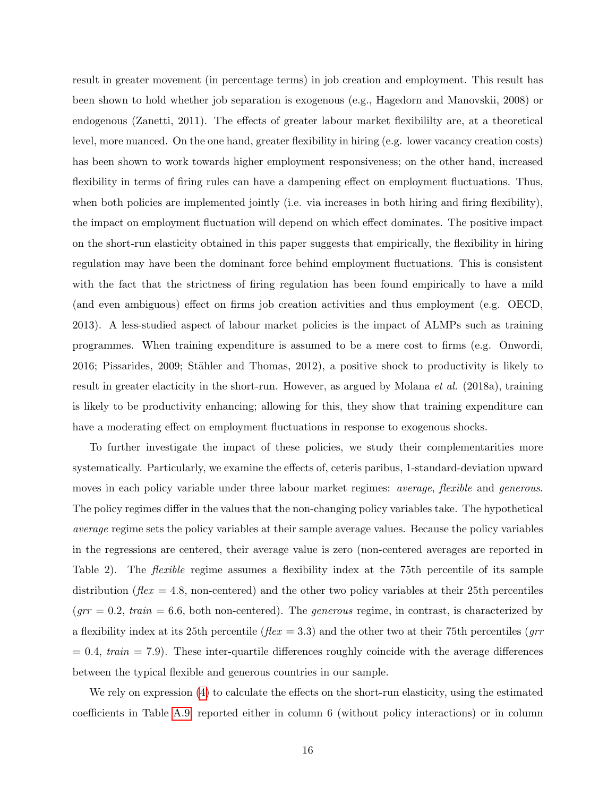result in greater movement (in percentage terms) in job creation and employment. This result has been shown to hold whether job separation is exogenous (e.g., Hagedorn and Manovskii, 2008) or endogenous (Zanetti, 2011). The effects of greater labour market flexibililty are, at a theoretical level, more nuanced. On the one hand, greater flexibility in hiring (e.g. lower vacancy creation costs) has been shown to work towards higher employment responsiveness; on the other hand, increased flexibility in terms of firing rules can have a dampening effect on employment fluctuations. Thus, when both policies are implemented jointly (i.e. via increases in both hiring and firing flexibility), the impact on employment fluctuation will depend on which effect dominates. The positive impact on the short-run elasticity obtained in this paper suggests that empirically, the flexibility in hiring regulation may have been the dominant force behind employment fluctuations. This is consistent with the fact that the strictness of firing regulation has been found empirically to have a mild (and even ambiguous) effect on firms job creation activities and thus employment (e.g. OECD, 2013). A less-studied aspect of labour market policies is the impact of ALMPs such as training programmes. When training expenditure is assumed to be a mere cost to firms (e.g. Onwordi, 2016; Pissarides, 2009; Stähler and Thomas, 2012), a positive shock to productivity is likely to result in greater elacticity in the short-run. However, as argued by Molana *et al.* (2018a), training is likely to be productivity enhancing; allowing for this, they show that training expenditure can have a moderating effect on employment fluctuations in response to exogenous shocks.

To further investigate the impact of these policies, we study their complementarities more systematically. Particularly, we examine the effects of, ceteris paribus, 1-standard-deviation upward moves in each policy variable under three labour market regimes: *average*, *flexible* and *generous*. The policy regimes differ in the values that the non-changing policy variables take. The hypothetical average regime sets the policy variables at their sample average values. Because the policy variables in the regressions are centered, their average value is zero (non-centered averages are reported in Table 2). The *flexible* regime assumes a flexibility index at the 75th percentile of its sample distribution ( $flex = 4.8$ , non-centered) and the other two policy variables at their 25th percentiles  $(grr = 0.2, train = 6.6, both non-centered).$  The *generous* regime, in contrast, is characterized by a flexibility index at its 25th percentile ( $flex = 3.3$ ) and the other two at their 75th percentiles ( $qrr$  $= 0.4$ , train  $= 7.9$ ). These inter-quartile differences roughly coincide with the average differences between the typical flexible and generous countries in our sample.

We rely on expression [\(4\)](#page-7-3) to calculate the effects on the short-run elasticity, using the estimated coefficients in Table [A.9,](#page-35-0) reported either in column 6 (without policy interactions) or in column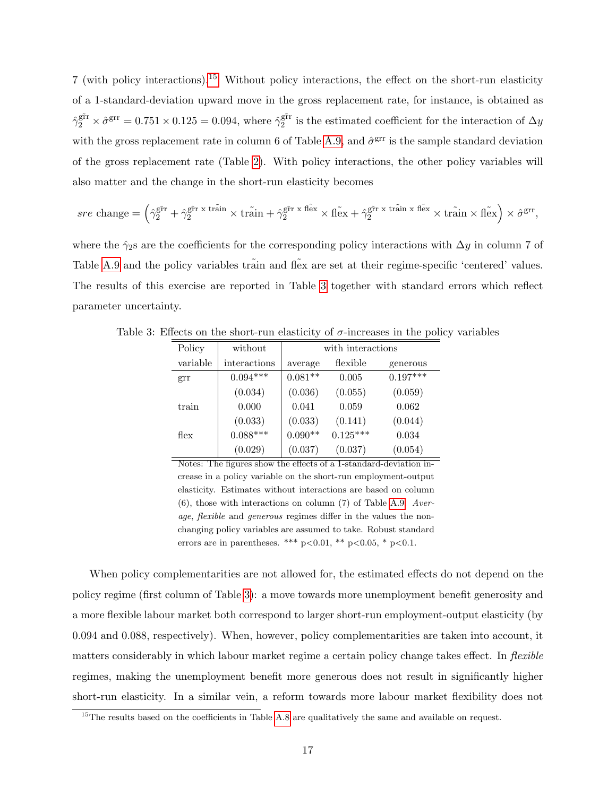7 (with policy interactions).[15](#page-18-1) Without policy interactions, the effect on the short-run elasticity of a 1-standard-deviation upward move in the gross replacement rate, for instance, is obtained as  $\hat{\gamma}_2^{\text{gfr}} \times \hat{\sigma}^{\text{grr}} = 0.751 \times 0.125 = 0.094$ , where  $\hat{\gamma}_2^{\text{gfr}}$  $_2^{\text{grr}}$  is the estimated coefficient for the interaction of  $\Delta y$ with the gross replacement rate in column 6 of Table [A.9,](#page-35-0) and  $\hat{\sigma}^{\text{grr}}$  is the sample standard deviation of the gross replacement rate (Table [2\)](#page-13-0). With policy interactions, the other policy variables will also matter and the change in the short-run elasticity becomes

$$
sre\text{ change} = \left(\hat{\gamma}_2^{\text{g\text{fr}}}\hat{r} + \hat{\gamma}_2^{\text{g\text{fr}}\hat{r}}\times\tilde{\text{train}}\times\tilde{\text{train}} + \hat{\gamma}_2^{\text{g\text{fr}}\hat{r}}\times\tilde{\text{flex}}\times\tilde{\text{flex}} + \hat{\gamma}_2^{\text{g\text{fr}}\hat{r}}\times\tilde{\text{train}}\times\tilde{\text{flex}}\times\tilde{\text{train}}\times\tilde{\text{flex}}\right)\times\hat{\sigma}^{\text{grr}},
$$

where the  $\hat{\gamma}_2$ s are the coefficients for the corresponding policy interactions with  $\Delta y$  in column 7 of Table [A.9](#page-35-0) and the policy variables train and flex are set at their regime-specific 'centered' values. The results of this exercise are reported in Table [3](#page-18-0) together with standard errors which reflect parameter uncertainty.

<span id="page-18-0"></span>

| Policy   | without      | with interactions |            |            |  |  |
|----------|--------------|-------------------|------------|------------|--|--|
| variable | interactions | average           | flexible   | generous   |  |  |
| grr      | $0.094***$   | $0.081**$         | 0.005      | $0.197***$ |  |  |
|          | (0.034)      | (0.036)           | (0.055)    | (0.059)    |  |  |
| train    | 0.000        | 0.041             | 0.059      | 0.062      |  |  |
|          | (0.033)      | (0.033)           | (0.141)    | (0.044)    |  |  |
| flex     | $0.088***$   | $0.090**$         | $0.125***$ | 0.034      |  |  |
|          | (0.029)      | (0.037)           | (0.037)    | (0.054)    |  |  |

Table 3: Effects on the short-run elasticity of  $\sigma$ -increases in the policy variables

Notes: The figures show the effects of a 1-standard-deviation increase in a policy variable on the short-run employment-output elasticity. Estimates without interactions are based on column (6), those with interactions on column (7) of Table [A.9.](#page-35-0) Average, flexible and generous regimes differ in the values the nonchanging policy variables are assumed to take. Robust standard errors are in parentheses. \*\*\*  $p<0.01$ , \*\*  $p<0.05$ , \*  $p<0.1$ .

When policy complementarities are not allowed for, the estimated effects do not depend on the policy regime (first column of Table [3\)](#page-18-0): a move towards more unemployment benefit generosity and a more flexible labour market both correspond to larger short-run employment-output elasticity (by 0.094 and 0.088, respectively). When, however, policy complementarities are taken into account, it matters considerably in which labour market regime a certain policy change takes effect. In *flexible* regimes, making the unemployment benefit more generous does not result in significantly higher short-run elasticity. In a similar vein, a reform towards more labour market flexibility does not

<span id="page-18-1"></span> $15$ The results based on the coefficients in Table [A.8](#page-34-0) are qualitatively the same and available on request.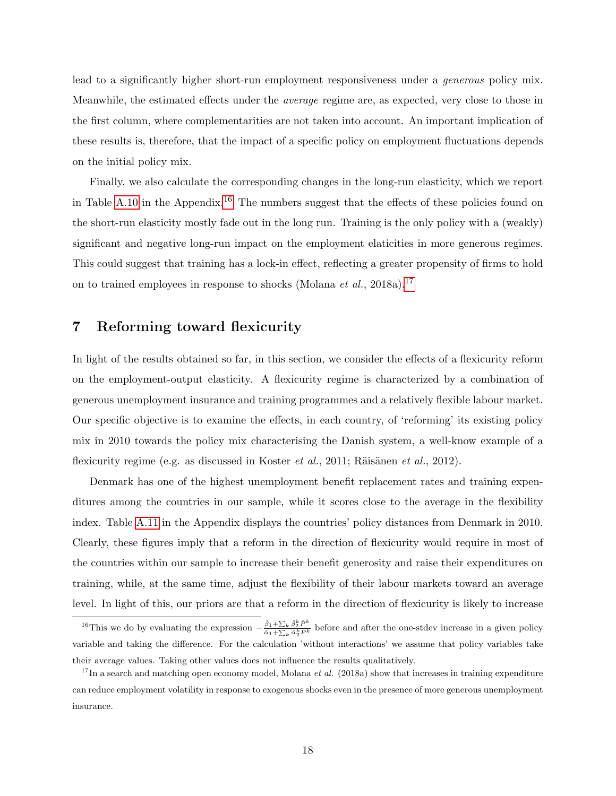lead to a significantly higher short-run employment responsiveness under a *generous* policy mix. Meanwhile, the estimated effects under the average regime are, as expected, very close to those in the first column, where complementarities are not taken into account. An important implication of these results is, therefore, that the impact of a specific policy on employment fluctuations depends on the initial policy mix.

Finally, we also calculate the corresponding changes in the long-run elasticity, which we report in Table [A.10](#page-37-0) in the Appendix.<sup>[16](#page-19-0)</sup> The numbers suggest that the effects of these policies found on the short-run elasticity mostly fade out in the long run. Training is the only policy with a (weakly) significant and negative long-run impact on the employment elaticities in more generous regimes. This could suggest that training has a lock-in effect, reflecting a greater propensity of firms to hold on to trained employees in response to shocks (Molana *et al.*, 2018a).<sup>[17](#page-19-1)</sup>

### 7 Reforming toward flexicurity

In light of the results obtained so far, in this section, we consider the effects of a flexicurity reform on the employment-output elasticity. A flexicurity regime is characterized by a combination of generous unemployment insurance and training programmes and a relatively flexible labour market. Our specific objective is to examine the effects, in each country, of 'reforming' its existing policy mix in 2010 towards the policy mix characterising the Danish system, a well-know example of a flexicurity regime (e.g. as discussed in Koster *et al.*, 2011; Räisänen *et al.*, 2012).

Denmark has one of the highest unemployment benefit replacement rates and training expenditures among the countries in our sample, while it scores close to the average in the flexibility index. Table [A.11](#page-37-1) in the Appendix displays the countries' policy distances from Denmark in 2010. Clearly, these figures imply that a reform in the direction of flexicurity would require in most of the countries within our sample to increase their benefit generosity and raise their expenditures on training, while, at the same time, adjust the flexibility of their labour markets toward an average level. In light of this, our priors are that a reform in the direction of flexicurity is likely to increase

<span id="page-19-0"></span><sup>&</sup>lt;sup>16</sup>This we do by evaluating the expression  $-\frac{\hat{\beta}_1+\sum_k \hat{\beta}_2^k \tilde{P}^k}{\hat{\alpha}_1+\sum_k \hat{\alpha}_2^k \tilde{P}^k}$  before and after the one-stdev increase in a given policy variable and taking the difference. For the calculation 'without interactions' we assume that policy variables take their average values. Taking other values does not influence the results qualitatively.

<span id="page-19-1"></span><sup>&</sup>lt;sup>17</sup>In a search and matching open economy model, Molana *et al.* (2018a) show that increases in training expenditure can reduce employment volatility in response to exogenous shocks even in the presence of more generous unemployment insurance.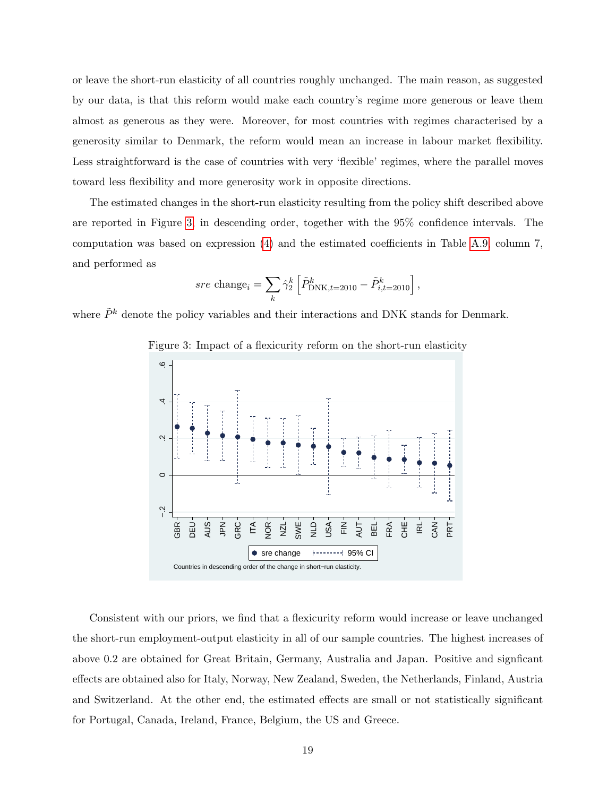or leave the short-run elasticity of all countries roughly unchanged. The main reason, as suggested by our data, is that this reform would make each country's regime more generous or leave them almost as generous as they were. Moreover, for most countries with regimes characterised by a generosity similar to Denmark, the reform would mean an increase in labour market flexibility. Less straightforward is the case of countries with very 'flexible' regimes, where the parallel moves toward less flexibility and more generosity work in opposite directions.

The estimated changes in the short-run elasticity resulting from the policy shift described above are reported in Figure [3,](#page-20-0) in descending order, together with the 95% confidence intervals. The computation was based on expression [\(4\)](#page-7-3) and the estimated coefficients in Table [A.9,](#page-35-0) column 7, and performed as

$$
sre\ \texttt{change}_i = \sum_k \hat{\gamma}^k_2 \left[ \tilde{P}^k_{\text{DNK},t=2010} - \tilde{P}^k_{i,t=2010} \right],
$$

where  $\tilde{P}^k$  denote the policy variables and their interactions and DNK stands for Denmark.



<span id="page-20-0"></span>Figure 3: Impact of a flexicurity reform on the short-run elasticity

Consistent with our priors, we find that a flexicurity reform would increase or leave unchanged the short-run employment-output elasticity in all of our sample countries. The highest increases of above 0.2 are obtained for Great Britain, Germany, Australia and Japan. Positive and signficant effects are obtained also for Italy, Norway, New Zealand, Sweden, the Netherlands, Finland, Austria and Switzerland. At the other end, the estimated effects are small or not statistically significant for Portugal, Canada, Ireland, France, Belgium, the US and Greece.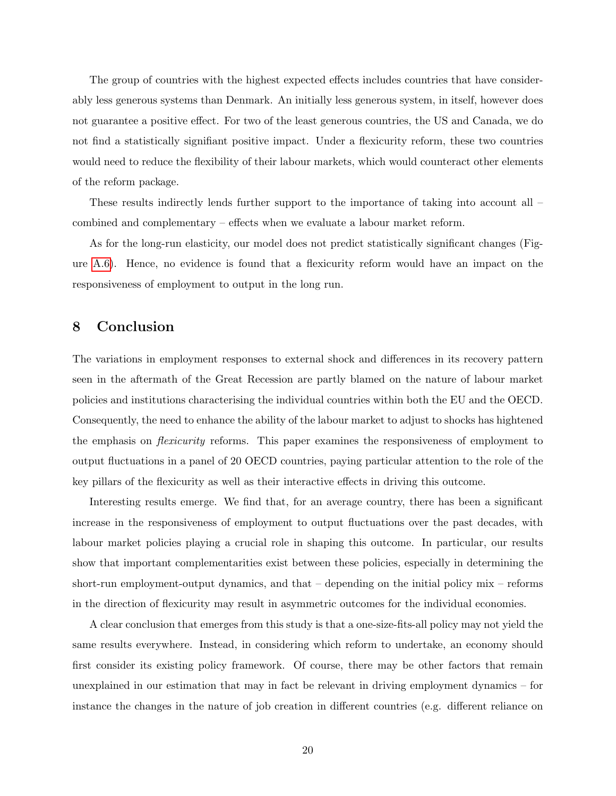The group of countries with the highest expected effects includes countries that have considerably less generous systems than Denmark. An initially less generous system, in itself, however does not guarantee a positive effect. For two of the least generous countries, the US and Canada, we do not find a statistically signifiant positive impact. Under a flexicurity reform, these two countries would need to reduce the flexibility of their labour markets, which would counteract other elements of the reform package.

These results indirectly lends further support to the importance of taking into account all – combined and complementary – effects when we evaluate a labour market reform.

As for the long-run elasticity, our model does not predict statistically significant changes (Figure [A.6\)](#page-31-1). Hence, no evidence is found that a flexicurity reform would have an impact on the responsiveness of employment to output in the long run.

### 8 Conclusion

The variations in employment responses to external shock and differences in its recovery pattern seen in the aftermath of the Great Recession are partly blamed on the nature of labour market policies and institutions characterising the individual countries within both the EU and the OECD. Consequently, the need to enhance the ability of the labour market to adjust to shocks has hightened the emphasis on flexicurity reforms. This paper examines the responsiveness of employment to output fluctuations in a panel of 20 OECD countries, paying particular attention to the role of the key pillars of the flexicurity as well as their interactive effects in driving this outcome.

Interesting results emerge. We find that, for an average country, there has been a significant increase in the responsiveness of employment to output fluctuations over the past decades, with labour market policies playing a crucial role in shaping this outcome. In particular, our results show that important complementarities exist between these policies, especially in determining the short-run employment-output dynamics, and that – depending on the initial policy mix – reforms in the direction of flexicurity may result in asymmetric outcomes for the individual economies.

A clear conclusion that emerges from this study is that a one-size-fits-all policy may not yield the same results everywhere. Instead, in considering which reform to undertake, an economy should first consider its existing policy framework. Of course, there may be other factors that remain unexplained in our estimation that may in fact be relevant in driving employment dynamics – for instance the changes in the nature of job creation in different countries (e.g. different reliance on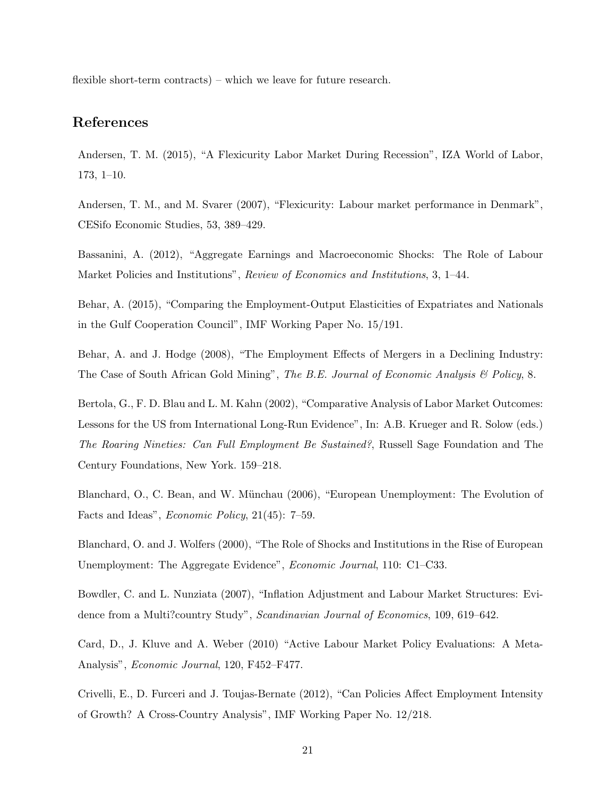flexible short-term contracts) – which we leave for future research.

## References

Andersen, T. M. (2015), "A Flexicurity Labor Market During Recession", IZA World of Labor, 173, 1–10.

Andersen, T. M., and M. Svarer (2007), "Flexicurity: Labour market performance in Denmark", CESifo Economic Studies, 53, 389–429.

Bassanini, A. (2012), "Aggregate Earnings and Macroeconomic Shocks: The Role of Labour Market Policies and Institutions", Review of Economics and Institutions, 3, 1–44.

Behar, A. (2015), "Comparing the Employment-Output Elasticities of Expatriates and Nationals in the Gulf Cooperation Council", IMF Working Paper No. 15/191.

Behar, A. and J. Hodge (2008), "The Employment Effects of Mergers in a Declining Industry: The Case of South African Gold Mining", The B.E. Journal of Economic Analysis  $\mathcal B$  Policy, 8.

Bertola, G., F. D. Blau and L. M. Kahn (2002), "Comparative Analysis of Labor Market Outcomes: Lessons for the US from International Long-Run Evidence", In: A.B. Krueger and R. Solow (eds.) The Roaring Nineties: Can Full Employment Be Sustained?, Russell Sage Foundation and The Century Foundations, New York. 159–218.

Blanchard, O., C. Bean, and W. Münchau (2006), "European Unemployment: The Evolution of Facts and Ideas", Economic Policy, 21(45): 7–59.

Blanchard, O. and J. Wolfers (2000), "The Role of Shocks and Institutions in the Rise of European Unemployment: The Aggregate Evidence", *Economic Journal*, 110: C1–C33.

Bowdler, C. and L. Nunziata (2007), "Inflation Adjustment and Labour Market Structures: Evidence from a Multi?country Study", Scandinavian Journal of Economics, 109, 619–642.

Card, D., J. Kluve and A. Weber (2010) "Active Labour Market Policy Evaluations: A Meta-Analysis", Economic Journal, 120, F452–F477.

Crivelli, E., D. Furceri and J. Toujas-Bernate (2012), "Can Policies Affect Employment Intensity of Growth? A Cross-Country Analysis", IMF Working Paper No. 12/218.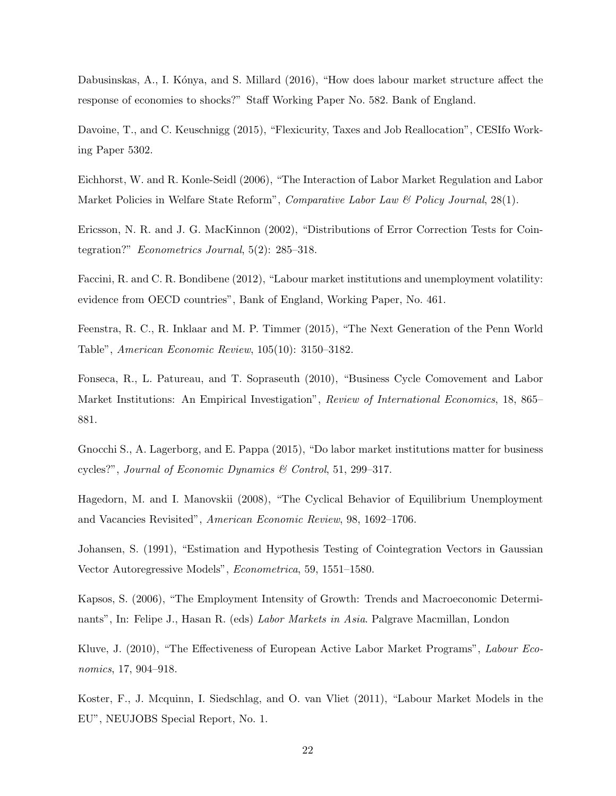Dabusinskas, A., I. Kónya, and S. Millard (2016), "How does labour market structure affect the response of economies to shocks?" Staff Working Paper No. 582. Bank of England.

Davoine, T., and C. Keuschnigg (2015), "Flexicurity, Taxes and Job Reallocation", CESIfo Working Paper 5302.

Eichhorst, W. and R. Konle-Seidl (2006), "The Interaction of Labor Market Regulation and Labor Market Policies in Welfare State Reform", Comparative Labor Law & Policy Journal, 28(1).

Ericsson, N. R. and J. G. MacKinnon (2002), "Distributions of Error Correction Tests for Cointegration?" Econometrics Journal, 5(2): 285–318.

Faccini, R. and C. R. Bondibene (2012), "Labour market institutions and unemployment volatility: evidence from OECD countries", Bank of England, Working Paper, No. 461.

Feenstra, R. C., R. Inklaar and M. P. Timmer (2015), "The Next Generation of the Penn World Table", American Economic Review, 105(10): 3150–3182.

Fonseca, R., L. Patureau, and T. Sopraseuth (2010), "Business Cycle Comovement and Labor Market Institutions: An Empirical Investigation", *Review of International Economics*, 18, 865– 881.

Gnocchi S., A. Lagerborg, and E. Pappa (2015), "Do labor market institutions matter for business cycles?", Journal of Economic Dynamics & Control, 51, 299–317.

Hagedorn, M. and I. Manovskii (2008), "The Cyclical Behavior of Equilibrium Unemployment and Vacancies Revisited", American Economic Review, 98, 1692–1706.

Johansen, S. (1991), "Estimation and Hypothesis Testing of Cointegration Vectors in Gaussian Vector Autoregressive Models", Econometrica, 59, 1551–1580.

Kapsos, S. (2006), "The Employment Intensity of Growth: Trends and Macroeconomic Determinants", In: Felipe J., Hasan R. (eds) Labor Markets in Asia. Palgrave Macmillan, London

Kluve, J. (2010), "The Effectiveness of European Active Labor Market Programs", Labour Economics, 17, 904–918.

Koster, F., J. Mcquinn, I. Siedschlag, and O. van Vliet (2011), "Labour Market Models in the EU", NEUJOBS Special Report, No. 1.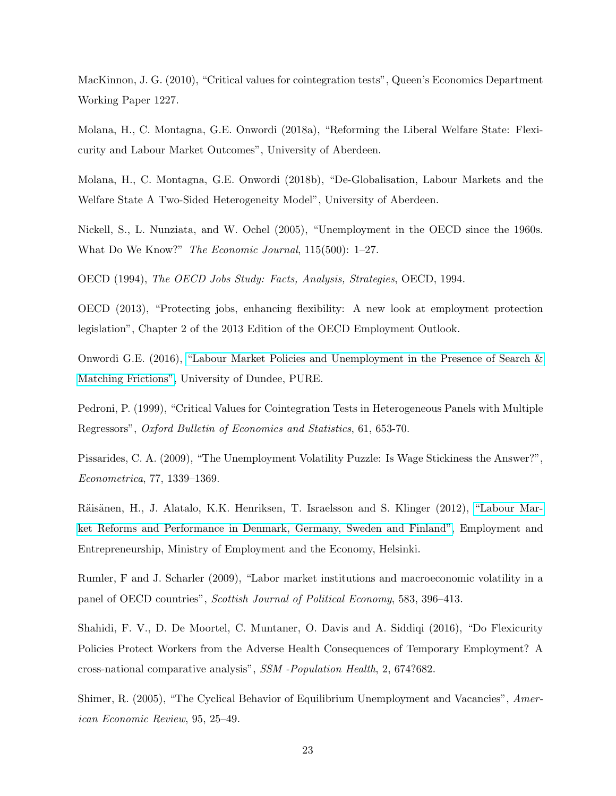MacKinnon, J. G. (2010), "Critical values for cointegration tests", Queen's Economics Department Working Paper 1227.

Molana, H., C. Montagna, G.E. Onwordi (2018a), "Reforming the Liberal Welfare State: Flexicurity and Labour Market Outcomes", University of Aberdeen.

Molana, H., C. Montagna, G.E. Onwordi (2018b), "De-Globalisation, Labour Markets and the Welfare State A Two-Sided Heterogeneity Model", University of Aberdeen.

Nickell, S., L. Nunziata, and W. Ochel (2005), "Unemployment in the OECD since the 1960s. What Do We Know?" The Economic Journal, 115(500): 1–27.

OECD (1994), The OECD Jobs Study: Facts, Analysis, Strategies, OECD, 1994.

OECD (2013), "Protecting jobs, enhancing flexibility: A new look at employment protection legislation", Chapter 2 of the 2013 Edition of the OECD Employment Outlook.

Onwordi G.E. (2016), ["Labour Market Policies and Unemployment in the Presence of Search &](https://discovery.dundee.ac.uk/en/studentTheses/labour-market-policies-and-unemployment-in-the-presence-of-search) [Matching Frictions",](https://discovery.dundee.ac.uk/en/studentTheses/labour-market-policies-and-unemployment-in-the-presence-of-search) University of Dundee, PURE.

Pedroni, P. (1999), "Critical Values for Cointegration Tests in Heterogeneous Panels with Multiple Regressors", Oxford Bulletin of Economics and Statistics, 61, 653-70.

Pissarides, C. A. (2009), "The Unemployment Volatility Puzzle: Is Wage Stickiness the Answer?", Econometrica, 77, 1339–1369.

Räisänen, H., J. Alatalo, K.K. Henriksen, T. Israelsson and S. Klinger (2012), ["Labour Mar](https://tem.fi/documents/1410877/3437250/Labour+Market+Reforms+and+Performance+in+Denmark+09052012.pdf)[ket Reforms and Performance in Denmark, Germany, Sweden and Finland",](https://tem.fi/documents/1410877/3437250/Labour+Market+Reforms+and+Performance+in+Denmark+09052012.pdf) Employment and Entrepreneurship, Ministry of Employment and the Economy, Helsinki.

Rumler, F and J. Scharler (2009), "Labor market institutions and macroeconomic volatility in a panel of OECD countries", Scottish Journal of Political Economy, 583, 396–413.

Shahidi, F. V., D. De Moortel, C. Muntaner, O. Davis and A. Siddiqi (2016), "Do Flexicurity Policies Protect Workers from the Adverse Health Consequences of Temporary Employment? A cross-national comparative analysis", SSM -Population Health, 2, 674?682.

Shimer, R. (2005), "The Cyclical Behavior of Equilibrium Unemployment and Vacancies", American Economic Review, 95, 25–49.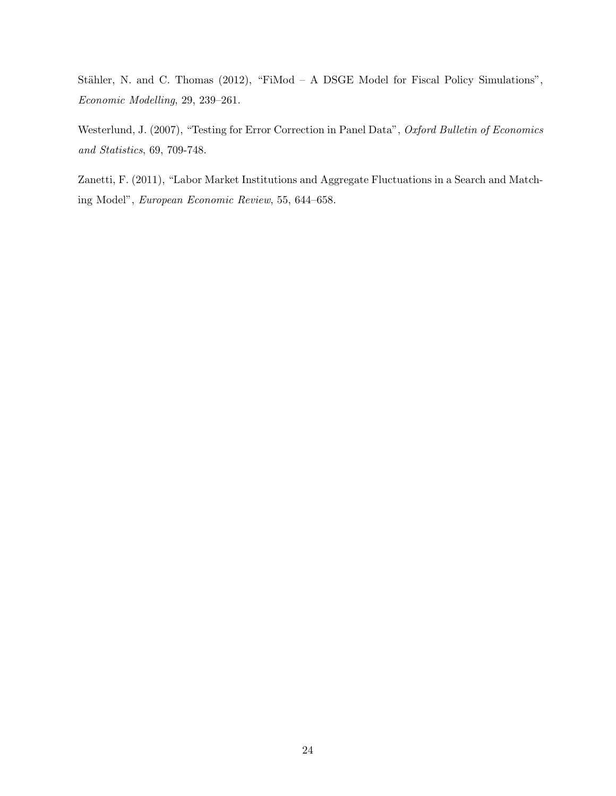Stähler, N. and C. Thomas (2012), "FiMod - A DSGE Model for Fiscal Policy Simulations", Economic Modelling, 29, 239–261.

Westerlund, J. (2007), "Testing for Error Correction in Panel Data", Oxford Bulletin of Economics and Statistics, 69, 709-748.

Zanetti, F. (2011), "Labor Market Institutions and Aggregate Fluctuations in a Search and Matching Model", European Economic Review, 55, 644–658.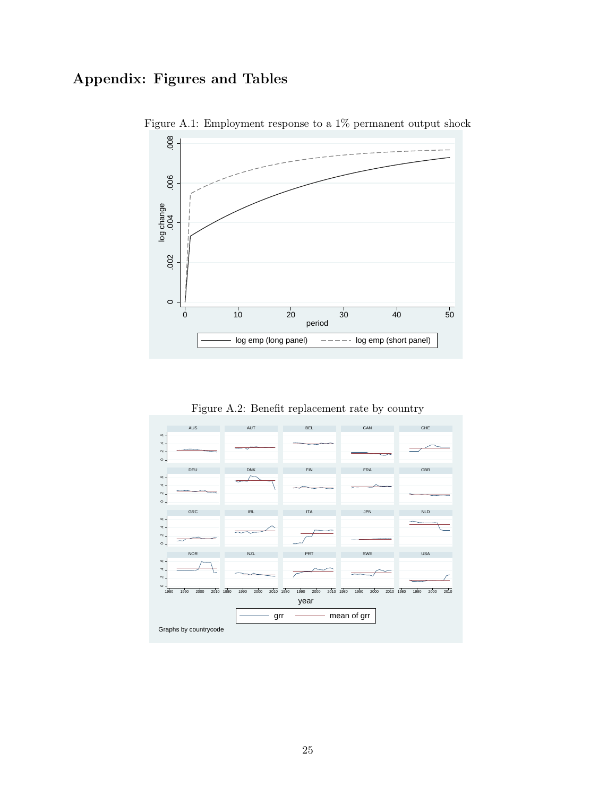# Appendix: Figures and Tables



Figure A.1: Employment response to a 1% permanent output shock

Figure A.2: Benefit replacement rate by country

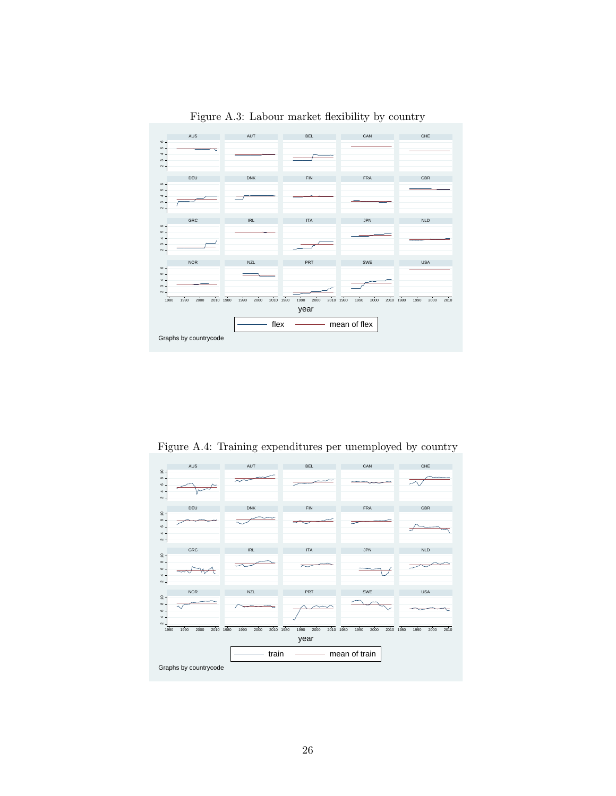

Figure A.3: Labour market flexibility by country

<span id="page-27-0"></span>Figure A.4: Training expenditures per unemployed by country

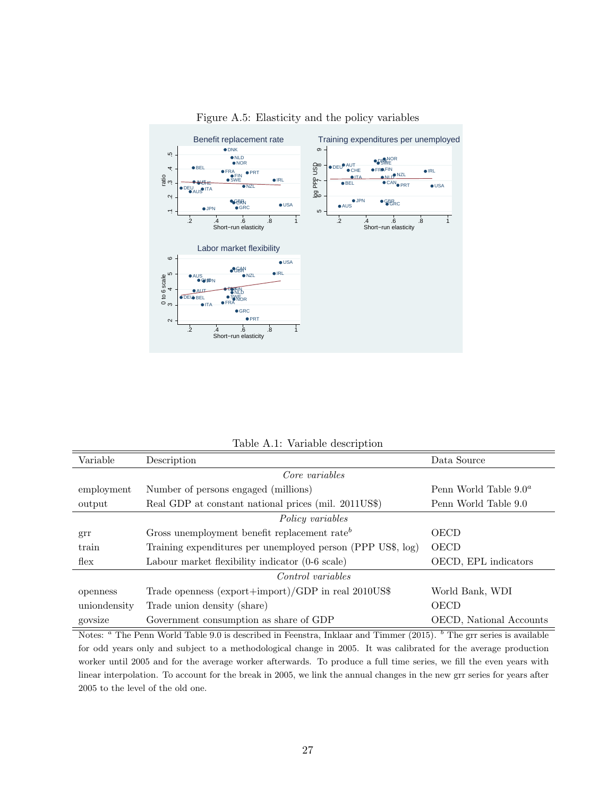

<span id="page-28-0"></span>Figure A.5: Elasticity and the policy variables

Table A.1: Variable description

| Variable         | Description                                                 | Data Source                     |
|------------------|-------------------------------------------------------------|---------------------------------|
|                  | Core variables                                              |                                 |
| employment       | Number of persons engaged (millions)                        | Penn World Table $9.0^a$        |
| output           | Real GDP at constant national prices (mil. 2011US\$)        | Penn World Table 9.0            |
|                  | Policy variables                                            |                                 |
| grr              | Gross unemployment benefit replacement rate <sup>b</sup>    | <b>OECD</b>                     |
| train            | Training expenditures per unemployed person (PPP US\$, log) | OECD                            |
| $f_{\text{lex}}$ | Labour market flexibility indicator (0-6 scale)             | OECD, EPL indicators            |
|                  | Control variables                                           |                                 |
| openness         | Trade openness (export+import)/GDP in real 2010US\$         | World Bank, WDI                 |
| uniondensity     | Trade union density (share)                                 | <b>OECD</b>                     |
| govsize          | Government consumption as share of GDP                      | <b>OECD</b> , National Accounts |

Notes: <sup>a</sup> The Penn World Table 9.0 is described in Feenstra, Inklaar and Timmer (2015). <sup>b</sup> The grr series is available for odd years only and subject to a methodological change in 2005. It was calibrated for the average production worker until 2005 and for the average worker afterwards. To produce a full time series, we fill the even years with linear interpolation. To account for the break in 2005, we link the annual changes in the new grr series for years after 2005 to the level of the old one.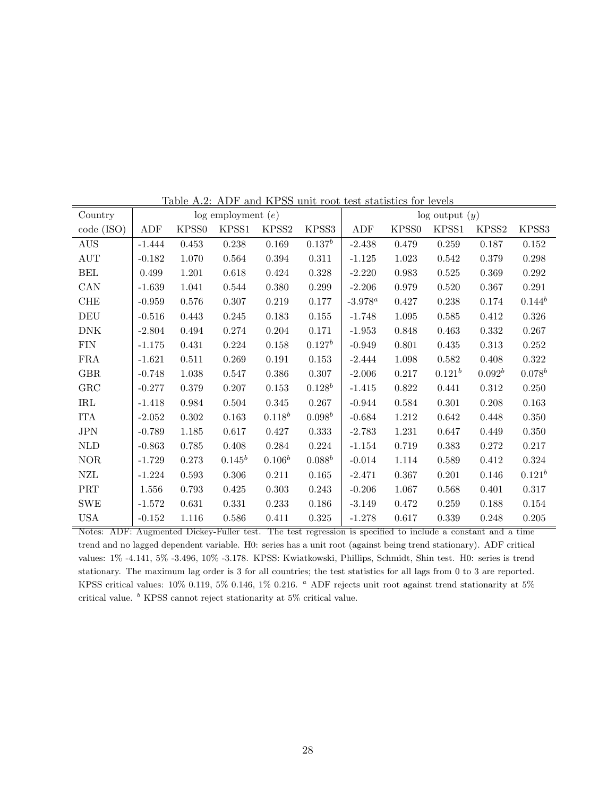| Table A.2: ADF and AF55 unit foot test statistics for levels |          |                   |                        |           |           |                    |                   |             |                   |             |
|--------------------------------------------------------------|----------|-------------------|------------------------|-----------|-----------|--------------------|-------------------|-------------|-------------------|-------------|
| Country                                                      |          |                   | $log$ employment $(e)$ |           |           | $log$ output $(y)$ |                   |             |                   |             |
| code (ISO)                                                   | ADF      | KPSS <sub>0</sub> | KPSS1                  | KPSS2     | KPSS3     | ADF                | KPSS <sub>0</sub> | KPSS1       | KPSS <sub>2</sub> | KPSS3       |
| <b>AUS</b>                                                   | $-1.444$ | 0.453             | $0.238\,$              | 0.169     | $0.137^b$ | $-2.438$           | 0.479             | 0.259       | 0.187             | 0.152       |
| $\mathop{\rm AUT}$                                           | $-0.182$ | 1.070             | 0.564                  | 0.394     | $0.311\,$ | $-1.125$           | 1.023             | $0.542\,$   | 0.379             | 0.298       |
| <b>BEL</b>                                                   | 0.499    | 1.201             | 0.618                  | 0.424     | 0.328     | $-2.220$           | 0.983             | 0.525       | 0.369             | 0.292       |
| CAN                                                          | $-1.639$ | 1.041             | 0.544                  | $0.380\,$ | 0.299     | $-2.206$           | 0.979             | 0.520       | 0.367             | 0.291       |
| ${\rm CHE}$                                                  | $-0.959$ | 0.576             | 0.307                  | 0.219     | 0.177     | $-3.978^a$         | 0.427             | 0.238       | 0.174             | $0.144^b$   |
| DEU                                                          | $-0.516$ | 0.443             | 0.245                  | 0.183     | 0.155     | $-1.748$           | 1.095             | 0.585       | $0.412\,$         | 0.326       |
| $\rm{DNK}$                                                   | $-2.804$ | 0.494             | 0.274                  | 0.204     | 0.171     | $-1.953$           | 0.848             | 0.463       | $0.332\,$         | 0.267       |
| <b>FIN</b>                                                   | $-1.175$ | 0.431             | 0.224                  | 0.158     | $0.127^b$ | $-0.949$           | 0.801             | 0.435       | 0.313             | 0.252       |
| <b>FRA</b>                                                   | $-1.621$ | 0.511             | 0.269                  | 0.191     | 0.153     | $-2.444$           | 1.098             | 0.582       | 0.408             | 0.322       |
| <b>GBR</b>                                                   | $-0.748$ | $1.038\,$         | 0.547                  | $0.386\,$ | $0.307\,$ | $-2.006$           | 0.217             | $0.121^{b}$ | $0.092^b$         | $0.078^b$   |
| GRC                                                          | $-0.277$ | 0.379             | 0.207                  | 0.153     | $0.128^b$ | $-1.415$           | 0.822             | 0.441       | $0.312\,$         | $0.250\,$   |
| $\operatorname{IRL}$                                         | $-1.418$ | 0.984             | 0.504                  | $0.345\,$ | 0.267     | $-0.944$           | 0.584             | $0.301\,$   | 0.208             | 0.163       |
| <b>ITA</b>                                                   | $-2.052$ | 0.302             | 0.163                  | $0.118^b$ | $0.098^b$ | $-0.684$           | 1.212             | 0.642       | 0.448             | $0.350\,$   |
| <b>JPN</b>                                                   | $-0.789$ | 1.185             | 0.617                  | 0.427     | 0.333     | $-2.783$           | 1.231             | 0.647       | 0.449             | 0.350       |
| <b>NLD</b>                                                   | $-0.863$ | 0.785             | 0.408                  | 0.284     | 0.224     | $-1.154$           | 0.719             | 0.383       | 0.272             | 0.217       |
| <b>NOR</b>                                                   | $-1.729$ | 0.273             | $0.145^b$              | $0.106^b$ | $0.088^b$ | $-0.014$           | 1.114             | 0.589       | 0.412             | 0.324       |
| ${\rm NZL}$                                                  | $-1.224$ | 0.593             | 0.306                  | 0.211     | $0.165\,$ | $-2.471$           | 0.367             | $0.201\,$   | 0.146             | $0.121^{b}$ |
| PRT                                                          | 1.556    | 0.793             | 0.425                  | 0.303     | 0.243     | $-0.206$           | 1.067             | 0.568       | 0.401             | 0.317       |
| <b>SWE</b>                                                   | $-1.572$ | 0.631             | 0.331                  | 0.233     | 0.186     | $-3.149$           | 0.472             | 0.259       | 0.188             | 0.154       |
| <b>USA</b>                                                   | $-0.152$ | 1.116             | 0.586                  | 0.411     | 0.325     | $-1.278$           | 0.617             | 0.339       | 0.248             | 0.205       |

Table A.2: ADF and KPSS unit root test statistics for levels

Notes: ADF: Augmented Dickey-Fuller test. The test regression is specified to include a constant and a time trend and no lagged dependent variable. H0: series has a unit root (against being trend stationary). ADF critical values: 1% -4.141, 5% -3.496, 10% -3.178. KPSS: Kwiatkowski, Phillips, Schmidt, Shin test. H0: series is trend stationary. The maximum lag order is 3 for all countries; the test statistics for all lags from 0 to 3 are reported. KPSS critical values:  $10\%$  0.119,  $5\%$  0.146,  $1\%$  0.216.  $^a$  ADF rejects unit root against trend stationarity at  $5\%$ critical value.  $<sup>b</sup>$  KPSS cannot reject stationarity at 5% critical value.</sup>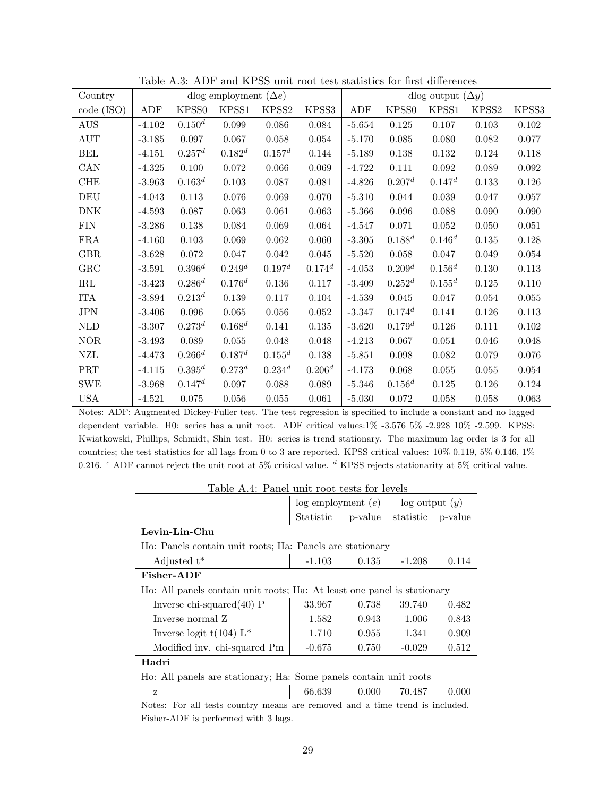|                      | ταυις π.υ. |             |                              |                    |             | ADT and III bb anno 1000 test statistics for mist differences<br>dlog output $(\Delta y)$ |                    |             |       |             |
|----------------------|------------|-------------|------------------------------|--------------------|-------------|-------------------------------------------------------------------------------------------|--------------------|-------------|-------|-------------|
| Country              |            |             | dlog employment $(\Delta e)$ |                    |             |                                                                                           |                    |             |       |             |
| code (ISO)           | ADF        | KPSS0       | KPSS1                        | KPSS2              | KPSS3       | ADF                                                                                       | KPSS0              | KPSS1       | KPSS2 | KPSS3       |
| <b>AUS</b>           | $-4.102$   | $0.150^{d}$ | 0.099                        | 0.086              | 0.084       | $-5.654$                                                                                  | 0.125              | 0.107       | 0.103 | 0.102       |
| AUT                  | $-3.185$   | 0.097       | 0.067                        | 0.058              | 0.054       | $-5.170$                                                                                  | 0.085              | 0.080       | 0.082 | 0.077       |
| <b>BEL</b>           | $-4.151$   | $0.257^d$   | $0.182^{d}$                  | $0.157^d$          | 0.144       | $-5.189$                                                                                  | 0.138              | $0.132\,$   | 0.124 | 0.118       |
| CAN                  | $-4.325$   | 0.100       | 0.072                        | $0.066\,$          | 0.069       | $-4.722$                                                                                  | 0.111              | $0.092\,$   | 0.089 | $\,0.092\,$ |
| ${\rm CHE}$          | $-3.963$   | $0.163^d$   | 0.103                        | 0.087              | 0.081       | $-4.826$                                                                                  | 0.207 <sup>d</sup> | $0.147^d$   | 0.133 | $0.126\,$   |
| DEU                  | $-4.043$   | 0.113       | 0.076                        | 0.069              | 0.070       | $-5.310$                                                                                  | 0.044              | 0.039       | 0.047 | 0.057       |
| <b>DNK</b>           | $-4.593$   | 0.087       | 0.063                        | 0.061              | 0.063       | $-5.366$                                                                                  | 0.096              | 0.088       | 0.090 | 0.090       |
| FIN                  | $-3.286$   | 0.138       | 0.084                        | 0.069              | 0.064       | $-4.547$                                                                                  | 0.071              | 0.052       | 0.050 | 0.051       |
| <b>FRA</b>           | $-4.160$   | 0.103       | 0.069                        | $\,0.062\,$        | 0.060       | $-3.305$                                                                                  | $0.188^{d}$        | $0.146^{d}$ | 0.135 | 0.128       |
| <b>GBR</b>           | $-3.628$   | 0.072       | 0.047                        | 0.042              | 0.045       | $-5.520$                                                                                  | 0.058              | 0.047       | 0.049 | 0.054       |
| GRC                  | $-3.591$   | $0.396^{d}$ | 0.249 <sup>d</sup>           | 0.197 <sup>d</sup> | $0.174^{d}$ | $-4.053$                                                                                  | 0.209 <sup>d</sup> | $0.156^{d}$ | 0.130 | 0.113       |
| $\operatorname{IRL}$ | $-3.423$   | $0.286^d$   | $0.176^{d}$                  | $0.136\,$          | 0.117       | $-3.409$                                                                                  | $0.252^d$          | $0.155^d$   | 0.125 | 0.110       |
| <b>ITA</b>           | $-3.894$   | $0.213^{d}$ | $0.139\,$                    | 0.117              | 0.104       | $-4.539$                                                                                  | 0.045              | 0.047       | 0.054 | $0.055\,$   |
| JPN                  | $-3.406$   | 0.096       | 0.065                        | $0.056\,$          | $0.052\,$   | $-3.347$                                                                                  | $0.174^{d}$        | 0.141       | 0.126 | 0.113       |
| <b>NLD</b>           | $-3.307$   | $0.273^{d}$ | $0.168^d$                    | 0.141              | 0.135       | $-3.620$                                                                                  | $0.179^{d}$        | 0.126       | 0.111 | 0.102       |
| <b>NOR</b>           | $-3.493$   | 0.089       | 0.055                        | 0.048              | 0.048       | $-4.213$                                                                                  | 0.067              | 0.051       | 0.046 | 0.048       |
| NZL                  | $-4.473$   | $0.266^d$   | $0.187^d$                    | $0.155^d$          | 0.138       | $-5.851$                                                                                  | 0.098              | 0.082       | 0.079 | 0.076       |
| <b>PRT</b>           | $-4.115$   | $0.395^d$   | $0.273^{d}$                  | $0.234^{d}$        | $0.206^d$   | $-4.173$                                                                                  | 0.068              | 0.055       | 0.055 | 0.054       |
| <b>SWE</b>           | $-3.968$   | $0.147^d$   | $0.097\,$                    | 0.088              | 0.089       | $-5.346$                                                                                  | $0.156^{d}$        | $0.125\,$   | 0.126 | $0.124\,$   |
| <b>USA</b>           | $-4.521$   | 0.075       | 0.056                        | 0.055              | 0.061       | $-5.030$                                                                                  | 0.072              | 0.058       | 0.058 | 0.063       |

Table A.3: ADF and KPSS unit root test statistics for first differences

Notes: ADF: Augmented Dickey-Fuller test. The test regression is specified to include a constant and no lagged dependent variable. H0: series has a unit root. ADF critical values:1% -3.576 5% -2.928 10% -2.599. KPSS: Kwiatkowski, Phillips, Schmidt, Shin test. H0: series is trend stationary. The maximum lag order is 3 for all countries; the test statistics for all lags from 0 to 3 are reported. KPSS critical values: 10% 0.119, 5% 0.146, 1% 0.216. <sup>c</sup> ADF cannot reject the unit root at 5% critical value. <sup>d</sup> KPSS rejects stationarity at 5% critical value.

<span id="page-30-0"></span>

| Table A.4: Panel unit root tests for levels                             |                                                                   |         |                    |         |  |  |  |
|-------------------------------------------------------------------------|-------------------------------------------------------------------|---------|--------------------|---------|--|--|--|
|                                                                         | $log$ employment $(e)$                                            |         | $log$ output $(y)$ |         |  |  |  |
|                                                                         | Statistic                                                         | p-value | statistic          | p-value |  |  |  |
| Levin-Lin-Chu                                                           |                                                                   |         |                    |         |  |  |  |
| Ho: Panels contain unit roots; Ha: Panels are stationary                |                                                                   |         |                    |         |  |  |  |
| Adjusted $t^*$                                                          | $-1.103$                                                          | 0.135   | $-1.208$           | 0.114   |  |  |  |
| Fisher-ADF                                                              |                                                                   |         |                    |         |  |  |  |
| Ho: All panels contain unit roots; Ha: At least one panel is stationary |                                                                   |         |                    |         |  |  |  |
| Inverse chi-squared $(40)$ P                                            | 33.967                                                            | 0.738   | 39.740             | 0.482   |  |  |  |
| Inverse normal Z                                                        | 1.582                                                             | 0.943   | 1.006              | 0.843   |  |  |  |
| Inverse logit $t(104)$ L <sup>*</sup>                                   | 1.710                                                             | 0.955   | 1.341              | 0.909   |  |  |  |
| Modified inv. chi-squared Pm                                            | $-0.675$                                                          | 0.750   | $-0.029$           | 0.512   |  |  |  |
| Hadri                                                                   |                                                                   |         |                    |         |  |  |  |
|                                                                         | Ho: All panels are stationary; Ha: Some panels contain unit roots |         |                    |         |  |  |  |
| z                                                                       | 66.639                                                            | 0.000   | 70.487             | 0.000   |  |  |  |

Notes: For all tests country means are removed and a time trend is included. Fisher-ADF is performed with 3 lags.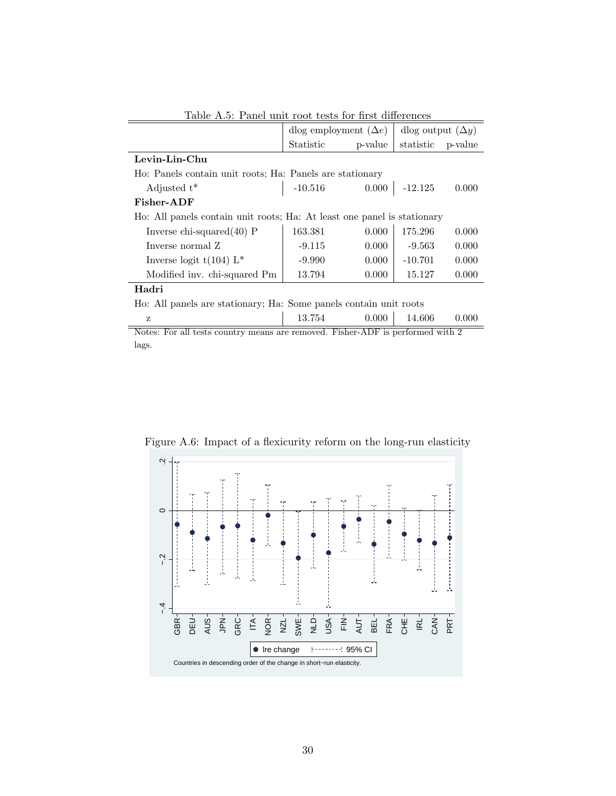|                                                                         | dlog employment $(\Delta e)$ |         | dlog output $(\Delta y)$ |         |  |  |  |
|-------------------------------------------------------------------------|------------------------------|---------|--------------------------|---------|--|--|--|
|                                                                         | Statistic                    | p-value | statistic                | p-value |  |  |  |
| Levin-Lin-Chu                                                           |                              |         |                          |         |  |  |  |
| Ho: Panels contain unit roots; Ha: Panels are stationary                |                              |         |                          |         |  |  |  |
| Adjusted $t^*$                                                          | $-10.516$                    |         | $0.000$ -12.125          | 0.000   |  |  |  |
| Fisher-ADF                                                              |                              |         |                          |         |  |  |  |
| Ho: All panels contain unit roots; Ha: At least one panel is stationary |                              |         |                          |         |  |  |  |
| Inverse chi-squared $(40)$ P                                            | 163.381                      | 0.000   | 175.296                  | 0.000   |  |  |  |
| Inverse normal Z                                                        | $-9.115$                     | 0.000   | $-9.563$                 | 0.000   |  |  |  |
| Inverse logit $t(104)$ L <sup>*</sup>                                   | $-9.990$                     | 0.000   | $-10.701$                | 0.000   |  |  |  |
| Modified inv. chi-squared Pm                                            | 13.794                       | 0.000   | 15.127                   | 0.000   |  |  |  |
| Hadri                                                                   |                              |         |                          |         |  |  |  |
| Ho: All panels are stationary; Ha: Some panels contain unit roots       |                              |         |                          |         |  |  |  |

<span id="page-31-0"></span>Table A.5: Panel unit root tests for first differences

Notes: For all tests country means are removed. Fisher-ADF is performed with 2 lags.

z  $13.754$   $0.000$   $14.606$   $0.000$ 

<span id="page-31-1"></span>

Figure A.6: Impact of a flexicurity reform on the long-run elasticity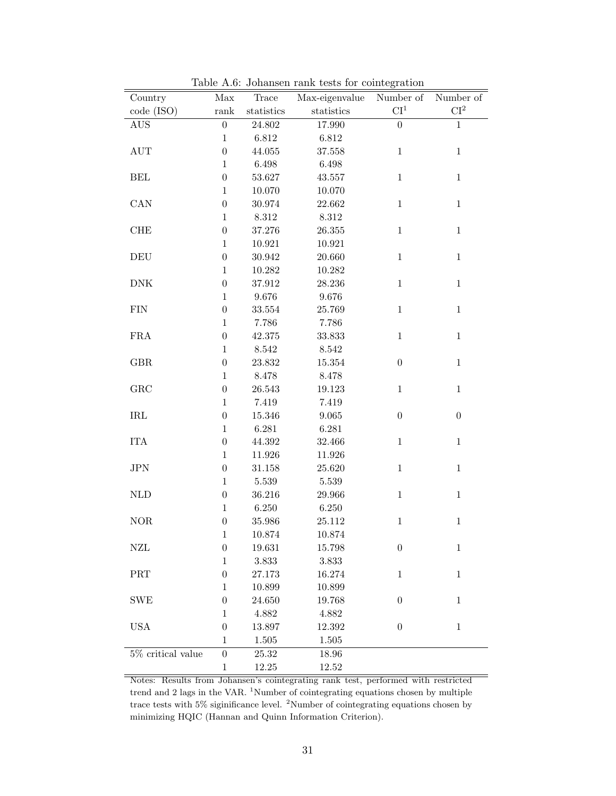| Country                   | Max              | Trace      | Max-eigenvalue       | Number of        | Number of                |
|---------------------------|------------------|------------|----------------------|------------------|--------------------------|
| code (ISO)                | rank             | statistics | statistics           | $\mathrm{CI}^1$  | $\mathbf{C}\mathbf{I}^2$ |
| AUS                       | $\boldsymbol{0}$ | 24.802     | 17.990               | $\boldsymbol{0}$ | $\,1$                    |
|                           | $\mathbf{1}$     | 6.812      | 6.812                |                  |                          |
| $\mathop{\rm AUT}$        | $\boldsymbol{0}$ | 44.055     | 37.558               | $\,1$            | $1\,$                    |
|                           | $\mathbf{1}$     | 6.498      | $6.498\,$            |                  |                          |
| $\operatorname{BEL}$      | $\boldsymbol{0}$ | 53.627     | 43.557               | $\,1$            | $\mathbf{1}$             |
|                           | $\mathbf{1}$     | 10.070     | 10.070               |                  |                          |
| CAN                       | $\boldsymbol{0}$ | 30.974     | 22.662               | $\mathbf{1}$     | $\mathbf{1}$             |
|                           | $\mathbf{1}$     | $8.312\,$  | $8.312\,$            |                  |                          |
| ${\rm CHE}$               | $\boldsymbol{0}$ | 37.276     | $26.355\,$           | $\,1$            | $\,1\,$                  |
|                           | $\mathbf{1}$     | 10.921     | 10.921               |                  |                          |
| $\operatorname{DEU}$      | $\boldsymbol{0}$ | 30.942     | 20.660               | $\,1$            | $\mathbf{1}$             |
|                           | $\mathbf{1}$     | 10.282     | 10.282               |                  |                          |
| ${\rm DNK}$               | $\boldsymbol{0}$ | 37.912     | 28.236               | $\,1$            | $\mathbf{1}$             |
|                           | $\mathbf 1$      | 9.676      | $9.676\,$            |                  |                          |
| <b>FIN</b>                | $\boldsymbol{0}$ | 33.554     | 25.769               | $\mathbf{1}$     | $\mathbf{1}$             |
|                           | $\mathbf{1}$     | 7.786      | 7.786                |                  |                          |
| ${\rm FRA}$               | $\boldsymbol{0}$ | 42.375     | $33.833\,$           | $\,1$            | $\mathbf 1$              |
|                           | $\mathbf{1}$     | $8.542\,$  | $8.542\,$            |                  |                          |
| $\rm{GBR}$                | $\boldsymbol{0}$ | 23.832     | $15.354\,$           | $\boldsymbol{0}$ | $\,1\,$                  |
|                           | $\mathbf{1}$     | 8.478      | $8.478\,$            |                  |                          |
| GRC                       | $\boldsymbol{0}$ | 26.543     | 19.123               | $\,1$            | $1\,$                    |
|                           | $\mathbf{1}$     | 7.419      | $7.419\,$            |                  |                          |
| $\operatorname{IRL}$      | $\boldsymbol{0}$ | 15.346     | $\boldsymbol{9.065}$ | $\boldsymbol{0}$ | $\boldsymbol{0}$         |
|                           | $\mathbf 1$      | 6.281      | 6.281                |                  |                          |
| <b>ITA</b>                | $\boldsymbol{0}$ | 44.392     | 32.466               | $\,1\,$          | $\mathbf 1$              |
|                           | $\mathbf{1}$     | 11.926     | 11.926               |                  |                          |
| $\rm JPN$                 | $\boldsymbol{0}$ | 31.158     | 25.620               | $\mathbf{1}$     | $\mathbf{1}$             |
|                           | $\mathbf{1}$     | $5.539\,$  | $5.539\,$            |                  |                          |
| $\mbox{NLD}$              | $\boldsymbol{0}$ | 36.216     | 29.966               | $\,1$            | $1\,$                    |
|                           | $\mathbf{1}$     | 6.250      | 6.250                |                  |                          |
| $\rm{NOR}$                | $\boldsymbol{0}$ | 35.986     | 25.112               | $\,1$            | $\mathbf 1$              |
|                           | $\,1$            | 10.874     | 10.874               |                  |                          |
| ${\rm NZL}$               | $\boldsymbol{0}$ | 19.631     | 15.798               | $\boldsymbol{0}$ | $\mathbf{1}$             |
|                           | $\mathbf{1}$     | 3.833      | 3.833                |                  |                          |
| $\overline{\mathrm{PRT}}$ | $\boldsymbol{0}$ | 27.173     | 16.274               | $\mathbf{1}$     | $\mathbf 1$              |
|                           | $\mathbf{1}$     | 10.899     | 10.899               |                  |                          |
| <b>SWE</b>                | $\boldsymbol{0}$ | 24.650     | 19.768               | $\boldsymbol{0}$ | $\mathbf{1}$             |
|                           | 1                | 4.882      | 4.882                |                  |                          |
| <b>USA</b>                | $\boldsymbol{0}$ | 13.897     | 12.392               | $\boldsymbol{0}$ | $1\,$                    |
|                           | $\mathbf 1$      | 1.505      | 1.505                |                  |                          |
| $5\%$ critical value      | $\boldsymbol{0}$ | 25.32      | 18.96                |                  |                          |
|                           | $\,1$            | 12.25      | $12.52\,$            |                  |                          |

<span id="page-32-0"></span>Table A.6: Johansen rank tests for cointegration

Notes: Results from Johansen's cointegrating rank test, performed with restricted trend and 2 lags in the VAR.  $^{1}$ Number of cointegrating equations chosen by multiple trace tests with 5% siginificance level. <sup>2</sup>Number of cointegrating equations chosen by minimizing HQIC (Hannan and Quinn Information Criterion).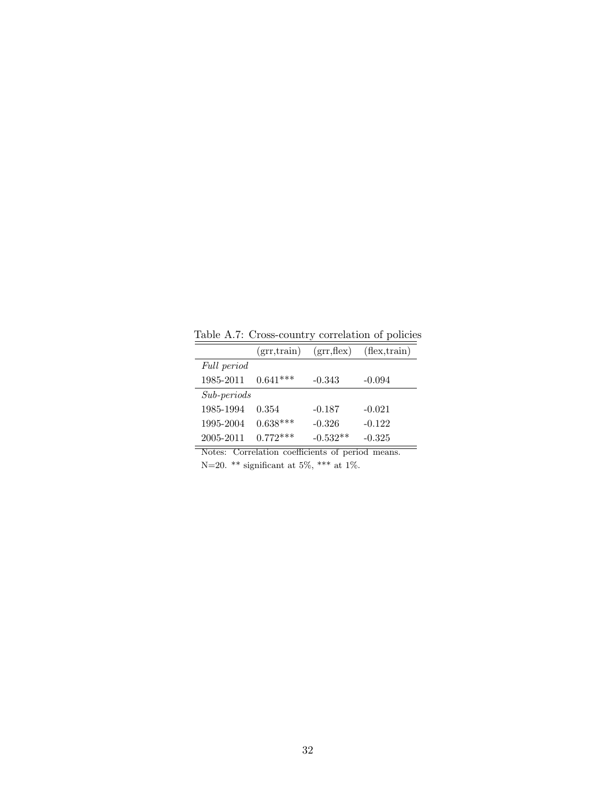Table A.7: Cross-country correlation of policies

<span id="page-33-0"></span>

|                      | (grr, train) | (grr, flex) | $(\text{flex,train})$ |
|----------------------|--------------|-------------|-----------------------|
| Full period          |              |             |                       |
| 1985-2011            | $0.641***$   | $-0.343$    | $-0.094$              |
| $Sub\text{-}periods$ |              |             |                       |
| 1985-1994            | 0.354        | $-0.187$    | $-0.021$              |
| 1995-2004            | $0.638***$   | $-0.326$    | $-0.122$              |
| 2005-2011            | $0.772***$   | $-0.532**$  | $-0.325$              |

Notes: Correlation coefficients of period means. N=20. \*\* significant at 5%, \*\*\* at 1%.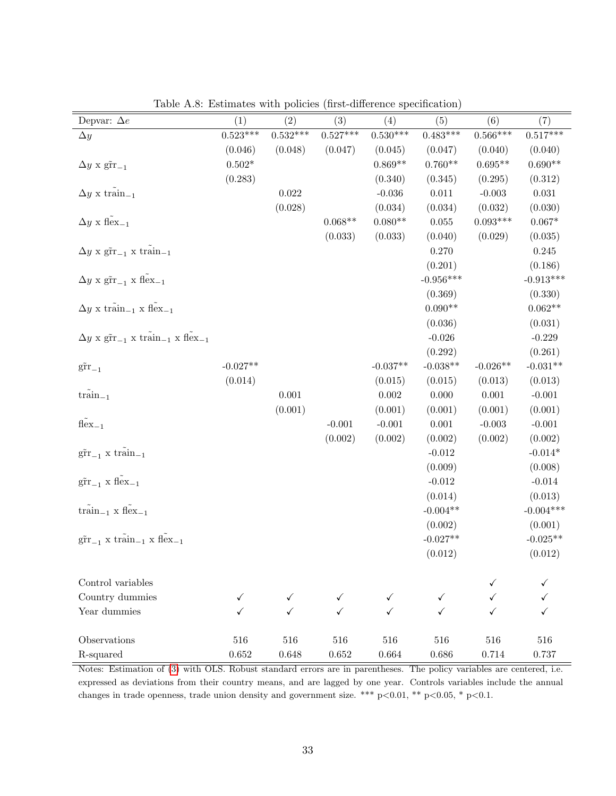| Depvar: $\Delta e$                                                                                         | (1)        | (2)         | (3)         | (4)         | (5)               | (6)        | (7)         |
|------------------------------------------------------------------------------------------------------------|------------|-------------|-------------|-------------|-------------------|------------|-------------|
| $\Delta y$                                                                                                 | $0.523***$ | $0.532***$  | $0.527***$  | $0.530***$  | $0.483***$        | $0.566***$ | $0.517***$  |
|                                                                                                            | (0.046)    | (0.048)     | (0.047)     | (0.045)     | (0.047)           | (0.040)    | (0.040)     |
| $\Delta y \times \text{gfr}_{-1}$                                                                          | $0.502*$   |             |             | $0.869**$   | $0.760**$         | $0.695**$  | $0.690**$   |
|                                                                                                            | (0.283)    |             |             | (0.340)     | (0.345)           | (0.295)    | (0.312)     |
| $\Delta y \ge \text{train}_{-1}$                                                                           |            | $\,0.022\,$ |             | $-0.036$    | 0.011             | $-0.003$   | $\,0.031\,$ |
|                                                                                                            |            | (0.028)     |             | (0.034)     | (0.034)           | (0.032)    | (0.030)     |
| $\Delta y \times \tilde{flex}_{-1}$                                                                        |            |             | $0.068**$   | $0.080**$   | $0.055\,$         | $0.093***$ | $0.067*$    |
|                                                                                                            |            |             | (0.033)     | (0.033)     | (0.040)           | (0.029)    | (0.035)     |
| $\Delta y$ x $\rm g\tilde{r}r_{-1}$ x $\rm train_{-1}$                                                     |            |             |             |             | 0.270             |            | 0.245       |
|                                                                                                            |            |             |             |             | (0.201)           |            | (0.186)     |
| $\Delta y \times \text{gfr}_{-1} \times \text{flex}_{-1}$                                                  |            |             |             |             | $-0.956***$       |            | $-0.913***$ |
|                                                                                                            |            |             |             |             | (0.369)           |            | (0.330)     |
| $\Delta y \times \text{train}_{-1} \times \text{flex}_{-1}$                                                |            |             |             |             | $0.090**$         |            | $0.062**$   |
|                                                                                                            |            |             |             |             | (0.036)           |            | (0.031)     |
| $\Delta y \times \tilde{\text{grr}}_{-1} \times \tilde{\text{train}}_{-1} \times \tilde{\text{flex}}_{-1}$ |            |             |             |             | $-0.026$          |            | $-0.229$    |
|                                                                                                            |            |             |             |             | (0.292)           |            | (0.261)     |
| $\rm g\tilde{r}r_{-1}$                                                                                     | $-0.027**$ |             |             | $-0.037**$  | $-0.038**$        | $-0.026**$ | $-0.031**$  |
|                                                                                                            | (0.014)    |             |             | (0.015)     | (0.015)           | (0.013)    | (0.013)     |
| $\tilde{\text{train}}_{-1}$                                                                                |            | $0.001\,$   |             | $0.002\,$   | 0.000             | 0.001      | $-0.001$    |
|                                                                                                            |            | (0.001)     |             | (0.001)     | (0.001)           | (0.001)    | (0.001)     |
| $\tilde{\text{flex}}_{-1}$                                                                                 |            |             | $-0.001$    | $-0.001$    | 0.001             | $-0.003$   | $-0.001$    |
|                                                                                                            |            |             | (0.002)     | (0.002)     | (0.002)           | (0.002)    | (0.002)     |
| $\tilde{\text{gr}}_{-1}$ x train <sub>-1</sub>                                                             |            |             |             |             | $-0.012$          |            | $-0.014*$   |
|                                                                                                            |            |             |             |             | (0.009)           |            | (0.008)     |
| $\tilde{\text{grr}}_{-1}$ x $\tilde{\text{flex}}_{-1}$                                                     |            |             |             |             | $-0.012$          |            | $-0.014$    |
|                                                                                                            |            |             |             |             | (0.014)           |            | (0.013)     |
| $\tilde{\text{train}}_{-1}$ x $\tilde{\text{flex}}_{-1}$                                                   |            |             |             |             | $-0.004**$        |            | $-0.004***$ |
|                                                                                                            |            |             |             |             | (0.002)           |            | (0.001)     |
| $\tilde{\text{grr}}_{-1}$ x train <sub>-1</sub> x flex <sub>-1</sub>                                       |            |             |             |             | $-0.027**$        |            | $-0.025**$  |
|                                                                                                            |            |             |             |             | (0.012)           |            | (0.012)     |
| Control variables                                                                                          |            |             |             |             |                   |            |             |
| Country dummies                                                                                            | ✓          | ✓           |             |             |                   |            |             |
| Year dummies                                                                                               | ✓          |             |             | ✓<br>✓      | $\checkmark$<br>✓ |            |             |
|                                                                                                            |            |             |             |             |                   |            |             |
| Observations                                                                                               | 516        | 516         | 516         | 516         | 516               | 516        | 516         |
| R-squared                                                                                                  | $0.652\,$  | $0.648\,$   | $\,0.652\,$ | $\,0.664\,$ | 0.686             | $0.714\,$  | 0.737       |

<span id="page-34-0"></span>Table A.8: Estimates with policies (first-difference specification)

Notes: Estimation of [\(3\)](#page-7-2) with OLS. Robust standard errors are in parentheses. The policy variables are centered, i.e. expressed as deviations from their country means, and are lagged by one year. Controls variables include the annual changes in trade openness, trade union density and government size. \*\*\*  $p<0.01$ , \*\*  $p<0.05$ , \*  $p<0.1$ .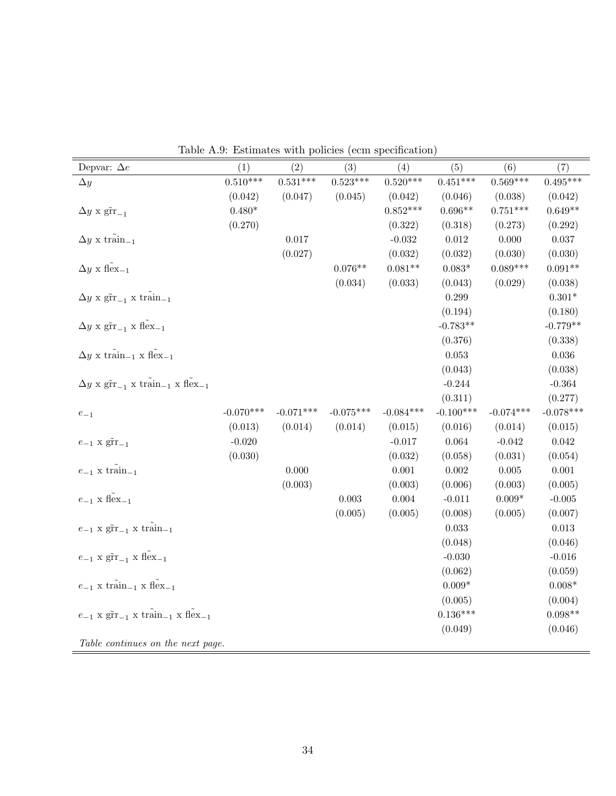| Depvar: $\Delta e$                                                                                         | (1)         | (2)         | (3)         | (4)         | (5)         | (6)         | (7)         |
|------------------------------------------------------------------------------------------------------------|-------------|-------------|-------------|-------------|-------------|-------------|-------------|
| $\Delta y$                                                                                                 | $0.510***$  | $0.531***$  | $0.523***$  | $0.520***$  | $0.451***$  | $0.569***$  | $0.495***$  |
|                                                                                                            | (0.042)     | (0.047)     | (0.045)     | (0.042)     | (0.046)     | (0.038)     | (0.042)     |
| $\Delta y \times \text{gfr}_{-1}$                                                                          | $0.480*$    |             |             | $0.852***$  | $0.696**$   | $0.751***$  | $0.649**$   |
|                                                                                                            | (0.270)     |             |             | (0.322)     | (0.318)     | (0.273)     | (0.292)     |
| $\Delta y \ge \text{train}_{-1}$                                                                           |             | 0.017       |             | $-0.032$    | $\,0.012\,$ | 0.000       | $0.037\,$   |
|                                                                                                            |             | (0.027)     |             | (0.032)     | (0.032)     | (0.030)     | (0.030)     |
| $\Delta y \times \tilde{flex}_{-1}$                                                                        |             |             | $0.076**$   | $0.081**$   | $0.083*$    | $0.089***$  | $0.091**$   |
|                                                                                                            |             |             | (0.034)     | (0.033)     | (0.043)     | (0.029)     | (0.038)     |
| $\Delta y \times \text{grr}_{-1} \times \text{train}_{-1}$                                                 |             |             |             |             | 0.299       |             | $0.301*$    |
|                                                                                                            |             |             |             |             | (0.194)     |             | (0.180)     |
| $\Delta y \times \tilde{\text{grr}}_{-1} \times \tilde{\text{flex}}_{-1}$                                  |             |             |             |             | $-0.783**$  |             | $-0.779**$  |
|                                                                                                            |             |             |             |             | (0.376)     |             | (0.338)     |
| $\Delta y$ x $\tilde{\text{train}}_{-1}$ x $\tilde{\text{flex}}_{-1}$                                      |             |             |             |             | 0.053       |             | $0.036\,$   |
|                                                                                                            |             |             |             |             | (0.043)     |             | (0.038)     |
| $\Delta y \times \tilde{\text{grr}}_{-1} \times \tilde{\text{train}}_{-1} \times \tilde{\text{flex}}_{-1}$ |             |             |             |             | $-0.244$    |             | $-0.364$    |
|                                                                                                            |             |             |             |             | (0.311)     |             | (0.277)     |
| $e_{-1}$                                                                                                   | $-0.070***$ | $-0.071***$ | $-0.075***$ | $-0.084***$ | $-0.100***$ | $-0.074***$ | $-0.078***$ |
|                                                                                                            | (0.013)     | (0.014)     | (0.014)     | (0.015)     | (0.016)     | (0.014)     | (0.015)     |
| $e_{-1}$ x $\tilde{\text{gr}}_{-1}$                                                                        | $-0.020$    |             |             | $-0.017$    | 0.064       | $-0.042$    | $\,0.042\,$ |
|                                                                                                            | (0.030)     |             |             | (0.032)     | (0.058)     | (0.031)     | (0.054)     |
| $e_{-1}$ x train <sub>-1</sub>                                                                             |             | 0.000       |             | 0.001       | $0.002\,$   | $0.005\,$   | $0.001\,$   |
|                                                                                                            |             | (0.003)     |             | (0.003)     | (0.006)     | (0.003)     | (0.005)     |
| $e_{-1}$ x flex <sub>-1</sub>                                                                              |             |             | $0.003\,$   | $0.004\,$   | $-0.011$    | $0.009*$    | $-0.005$    |
|                                                                                                            |             |             | (0.005)     | (0.005)     | (0.008)     | (0.005)     | (0.007)     |
| $e_{-1}$ x $\tilde{\text{grr}}_{-1}$ x train-1                                                             |             |             |             |             | $\,0.033\,$ |             | $\,0.013\,$ |
|                                                                                                            |             |             |             |             | (0.048)     |             | (0.046)     |
| $e_{-1}$ x $\tilde{\text{grr}}_{-1}$ x $\tilde{\text{flex}}_{-1}$                                          |             |             |             |             | $-0.030$    |             | $-0.016$    |
|                                                                                                            |             |             |             |             | (0.062)     |             | (0.059)     |
| $e_{-1}$ x train <sub>-1</sub> x flex <sub>-1</sub>                                                        |             |             |             |             | $0.009*$    |             | $0.008*$    |
|                                                                                                            |             |             |             |             | (0.005)     |             | (0.004)     |
| $e_{-1}$ x $\tilde{\text{grr}}_{-1}$ x $\tilde{\text{train}}_{-1}$ x $\tilde{\text{flex}}_{-1}$            |             |             |             |             | $0.136***$  |             | $0.098**$   |
|                                                                                                            |             |             |             |             | (0.049)     |             | (0.046)     |
| Table continues on the next page.                                                                          |             |             |             |             |             |             |             |

<span id="page-35-0"></span>Table A.9: Estimates with policies (ecm specification)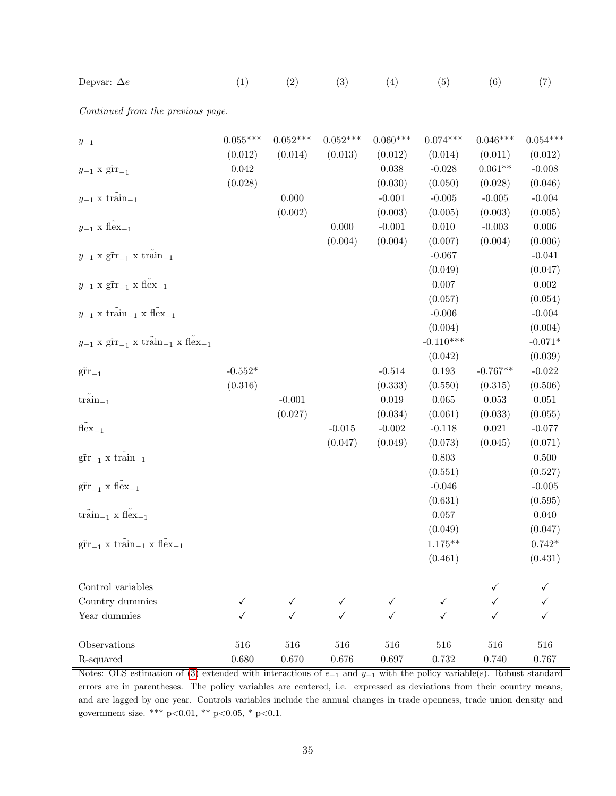| Depvar: $\Delta e$                                                                              | (1)          | (2)          | (3)          | (4)        | (5)         | (6)         | (7)        |
|-------------------------------------------------------------------------------------------------|--------------|--------------|--------------|------------|-------------|-------------|------------|
| Continued from the previous page.                                                               |              |              |              |            |             |             |            |
|                                                                                                 |              |              |              |            |             |             |            |
| $y_{\rm -1}$                                                                                    | $0.055***$   | $0.052***$   | $0.052***$   | $0.060***$ | $0.074***$  | $0.046***$  | $0.054***$ |
|                                                                                                 | (0.012)      | (0.014)      | (0.013)      | (0.012)    | (0.014)     | (0.011)     | (0.012)    |
| $y_{-1}$ x $\tilde{\text{gr}}_{-1}$                                                             | 0.042        |              |              | 0.038      | $-0.028$    | $0.061**$   | $-0.008$   |
|                                                                                                 | (0.028)      |              |              | (0.030)    | (0.050)     | (0.028)     | (0.046)    |
| $y_{-1}$ x $\mathrm{train}_{-1}$                                                                |              | 0.000        |              | $-0.001$   | $-0.005$    | $-0.005$    | $-0.004$   |
|                                                                                                 |              | (0.002)      |              | (0.003)    | (0.005)     | (0.003)     | (0.005)    |
| $y_{-1}$ x flex <sub>-1</sub>                                                                   |              |              | 0.000        | $-0.001$   | 0.010       | $-0.003$    | 0.006      |
|                                                                                                 |              |              | (0.004)      | (0.004)    | (0.007)     | (0.004)     | (0.006)    |
| $y_{-1}$ x $\tilde{\text{grr}}_{-1}$ x $\tilde{\text{train}}_{-1}$                              |              |              |              |            | $-0.067$    |             | $-0.041$   |
|                                                                                                 |              |              |              |            | (0.049)     |             | (0.047)    |
| $y_{-1}$ x $\tilde{\text{grr}}_{-1}$ x $\tilde{\text{flex}}_{-1}$                               |              |              |              |            | 0.007       |             | $0.002\,$  |
|                                                                                                 |              |              |              |            | (0.057)     |             | (0.054)    |
| $y_{-1}$ x train <sub>-1</sub> x flex <sub>-1</sub>                                             |              |              |              |            | $-0.006$    |             | $-0.004$   |
|                                                                                                 |              |              |              |            | (0.004)     |             | (0.004)    |
| $y_{-1}$ x $\tilde{\text{grr}}_{-1}$ x $\tilde{\text{train}}_{-1}$ x $\tilde{\text{flex}}_{-1}$ |              |              |              |            | $-0.110***$ |             | $-0.071*$  |
|                                                                                                 |              |              |              |            | (0.042)     |             | (0.039)    |
| $\tilde{\text{gr}}_{-1}$                                                                        | $-0.552*$    |              |              | $-0.514$   | $\,0.193\,$ | $-0.767**$  | $-0.022$   |
|                                                                                                 | (0.316)      |              |              | (0.333)    | (0.550)     | (0.315)     | (0.506)    |
| $\tilde{\text{train}}_{-1}$                                                                     |              | $-0.001$     |              | 0.019      | 0.065       | $\,0.053\,$ | 0.051      |
|                                                                                                 |              | (0.027)      |              | (0.034)    | (0.061)     | (0.033)     | (0.055)    |
| $\tilde{\text{flex}}_{-1}$                                                                      |              |              | $-0.015$     | $-0.002$   | $-0.118$    | $\,0.021\,$ | $-0.077$   |
|                                                                                                 |              |              | (0.047)      | (0.049)    | (0.073)     | (0.045)     | (0.071)    |
| $\tilde{\text{grr}}_{-1}$ x train <sub>-1</sub>                                                 |              |              |              |            | 0.803       |             | 0.500      |
|                                                                                                 |              |              |              |            | (0.551)     |             | (0.527)    |
| $\tilde{\text{grr}}_{-1}$ x $\tilde{\text{flex}}_{-1}$                                          |              |              |              |            | $-0.046$    |             | $-0.005$   |
|                                                                                                 |              |              |              |            | (0.631)     |             | (0.595)    |
| $\tilde{\text{train}}_{-1}$ x flex <sub>-1</sub>                                                |              |              |              |            | 0.057       |             | 0.040      |
|                                                                                                 |              |              |              |            | (0.049)     |             | (0.047)    |
| $\tilde{\text{grr}}_{-1}$ x $\tilde{\text{train}}_{-1}$ x $\tilde{\text{flex}}_{-1}$            |              |              |              |            | $1.175***$  |             | $0.742*$   |
|                                                                                                 |              |              |              |            | (0.461)     |             | (0.431)    |
| Control variables                                                                               |              |              |              |            |             |             |            |
| Country dummies                                                                                 | $\checkmark$ |              |              |            | ✓           |             |            |
| Year dummies                                                                                    | ✓            | $\checkmark$ | $\checkmark$ | ✓          | ✓           |             |            |
|                                                                                                 |              |              |              |            |             |             |            |
| Observations                                                                                    | 516          | 516          | 516          | 516        | 516         | 516         | 516        |
| R-squared                                                                                       | 0.680        | $0.670\,$    | $0.676\,$    | $0.697\,$  | $\rm 0.732$ | 0.740       | 0.767      |

Notes: OLS estimation of [\(3\)](#page-7-2) extended with interactions of  $e_{-1}$  and  $y_{-1}$  with the policy variable(s). Robust standard errors are in parentheses. The policy variables are centered, i.e. expressed as deviations from their country means, and are lagged by one year. Controls variables include the annual changes in trade openness, trade union density and government size. \*\*\* p<0.01, \*\* p<0.05, \* p<0.1.